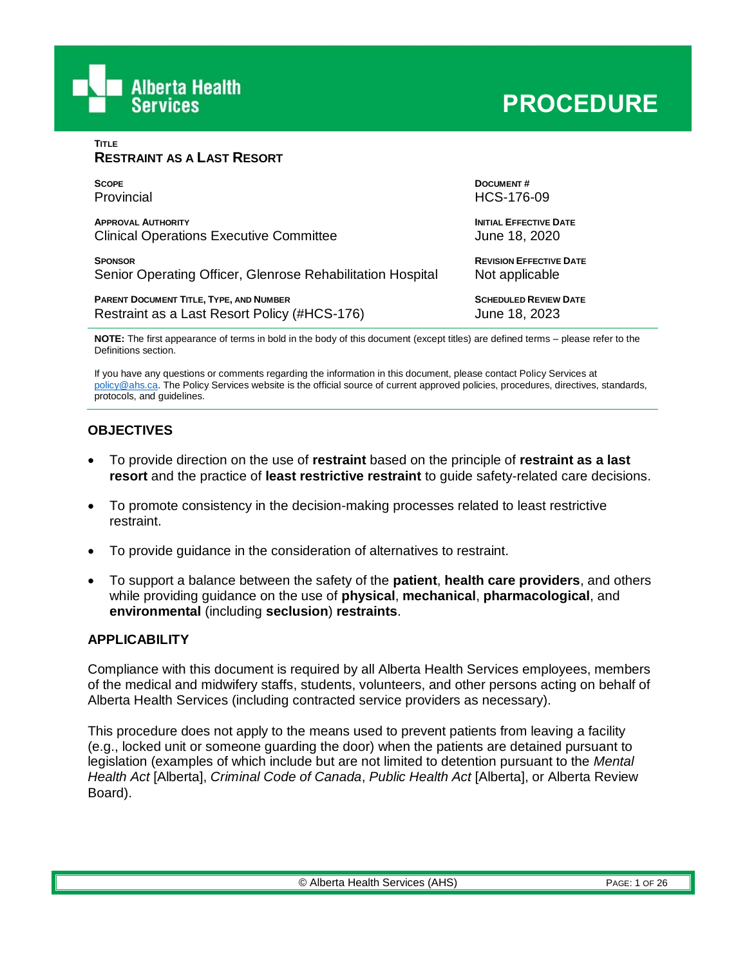

**TITLE**

| <b>RESTRAINT AS A LAST RESORT</b>                          |                                |
|------------------------------------------------------------|--------------------------------|
| <b>SCOPE</b>                                               | <b>DOCUMENT#</b>               |
| Provincial                                                 | HCS-176-09                     |
| <b>APPROVAL AUTHORITY</b>                                  | <b>INITIAL EFFECTIVE DATE</b>  |
| <b>Clinical Operations Executive Committee</b>             | June 18, 2020                  |
| <b>SPONSOR</b>                                             | <b>REVISION EFFECTIVE DATE</b> |
| Senior Operating Officer, Glenrose Rehabilitation Hospital | Not applicable                 |
| PARENT DOCUMENT TITLE, TYPE, AND NUMBER                    | <b>SCHEDULED REVIEW DATE</b>   |
| Restraint as a Last Resort Policy (#HCS-176)               | June 18, 2023                  |

**NOTE:** The first appearance of terms in bold in the body of this document (except titles) are defined terms – please refer to the Definitions section.

If you have any questions or comments regarding the information in this document, please contact Policy Services at [policy@ahs.ca.](mailto:policy@ahs.ca) The Policy Services website is the official source of current approved policies, procedures, directives, standards, protocols, and guidelines.

## **OBJECTIVES**

- To provide direction on the use of **restraint** based on the principle of **restraint as a last resort** and the practice of **least restrictive restraint** to guide safety-related care decisions.
- To promote consistency in the decision-making processes related to least restrictive restraint.
- To provide guidance in the consideration of alternatives to restraint.
- To support a balance between the safety of the **patient**, **health care providers**, and others while providing guidance on the use of **physical**, **mechanical**, **pharmacological**, and **environmental** (including **seclusion**) **restraints**.

#### **APPLICABILITY**

Compliance with this document is required by all Alberta Health Services employees, members of the medical and midwifery staffs, students, volunteers, and other persons acting on behalf of Alberta Health Services (including contracted service providers as necessary).

This procedure does not apply to the means used to prevent patients from leaving a facility (e.g., locked unit or someone guarding the door) when the patients are detained pursuant to legislation (examples of which include but are not limited to detention pursuant to the *Mental Health Act* [Alberta], *Criminal Code of Canada*, *Public Health Act* [Alberta], or Alberta Review Board).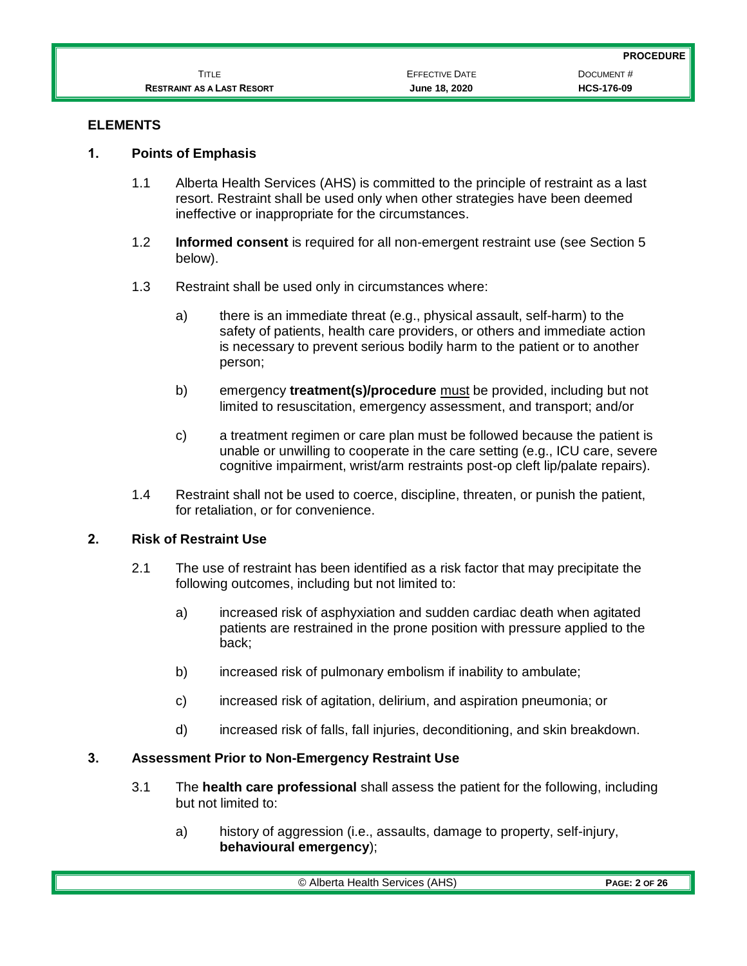|                                   |                       | <b>PROCEDURE</b>  |
|-----------------------------------|-----------------------|-------------------|
| Title                             | <b>EFFECTIVE DATE</b> | DOCUMENT#         |
| <b>RESTRAINT AS A LAST RESORT</b> | June 18, 2020         | <b>HCS-176-09</b> |

## **ELEMENTS**

## **1. Points of Emphasis**

- 1.1 Alberta Health Services (AHS) is committed to the principle of restraint as a last resort. Restraint shall be used only when other strategies have been deemed ineffective or inappropriate for the circumstances.
- 1.2 **Informed consent** is required for all non-emergent restraint use (see Section 5 below).
- 1.3 Restraint shall be used only in circumstances where:
	- a) there is an immediate threat (e.g., physical assault, self-harm) to the safety of patients, health care providers, or others and immediate action is necessary to prevent serious bodily harm to the patient or to another person;
	- b) emergency **treatment(s)/procedure** must be provided, including but not limited to resuscitation, emergency assessment, and transport; and/or
	- c) a treatment regimen or care plan must be followed because the patient is unable or unwilling to cooperate in the care setting (e.g., ICU care, severe cognitive impairment, wrist/arm restraints post-op cleft lip/palate repairs).
- 1.4 Restraint shall not be used to coerce, discipline, threaten, or punish the patient, for retaliation, or for convenience.

## **2. Risk of Restraint Use**

- 2.1 The use of restraint has been identified as a risk factor that may precipitate the following outcomes, including but not limited to:
	- a) increased risk of asphyxiation and sudden cardiac death when agitated patients are restrained in the prone position with pressure applied to the back;
	- b) increased risk of pulmonary embolism if inability to ambulate;
	- c) increased risk of agitation, delirium, and aspiration pneumonia; or
	- d) increased risk of falls, fall injuries, deconditioning, and skin breakdown.

#### **3. Assessment Prior to Non-Emergency Restraint Use**

- 3.1 The **health care professional** shall assess the patient for the following, including but not limited to:
	- a) history of aggression (i.e., assaults, damage to property, self-injury, **behavioural emergency**);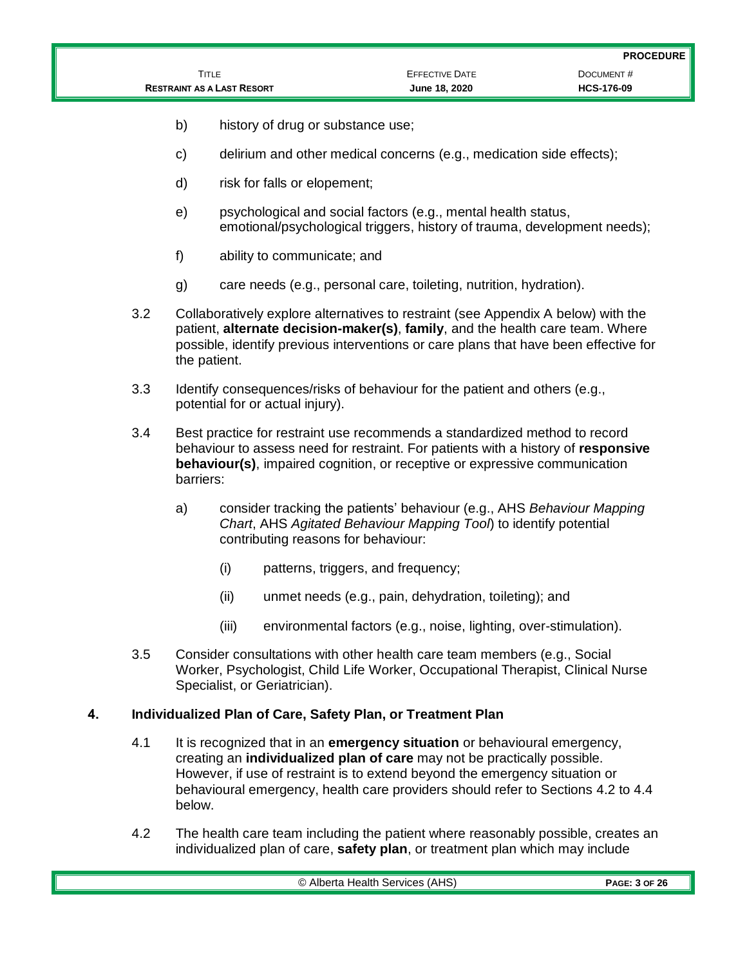|                                   |                       | <b>PROCEDURE</b>  |
|-----------------------------------|-----------------------|-------------------|
| TITLE                             | <b>EFFECTIVE DATE</b> | DOCUMENT#         |
| <b>RESTRAINT AS A LAST RESORT</b> | June 18, 2020         | <b>HCS-176-09</b> |

- b) history of drug or substance use;
- c) delirium and other medical concerns (e.g., medication side effects);
- d) risk for falls or elopement;
- e) psychological and social factors (e.g., mental health status, emotional/psychological triggers, history of trauma, development needs);
- f) ability to communicate; and
- g) care needs (e.g., personal care, toileting, nutrition, hydration).
- 3.2 Collaboratively explore alternatives to restraint (see Appendix A below) with the patient, **alternate decision-maker(s)**, **family**, and the health care team. Where possible, identify previous interventions or care plans that have been effective for the patient.
- 3.3 Identify consequences/risks of behaviour for the patient and others (e.g., potential for or actual injury).
- 3.4 Best practice for restraint use recommends a standardized method to record behaviour to assess need for restraint. For patients with a history of **responsive behaviour(s)**, impaired cognition, or receptive or expressive communication barriers:
	- a) consider tracking the patients' behaviour (e.g., AHS *Behaviour Mapping Chart*, AHS *Agitated Behaviour Mapping Tool*) to identify potential contributing reasons for behaviour:
		- (i) patterns, triggers, and frequency;
		- (ii) unmet needs (e.g., pain, dehydration, toileting); and
		- (iii) environmental factors (e.g., noise, lighting, over-stimulation).
- 3.5 Consider consultations with other health care team members (e.g., Social Worker, Psychologist, Child Life Worker, Occupational Therapist, Clinical Nurse Specialist, or Geriatrician).

## **4. Individualized Plan of Care, Safety Plan, or Treatment Plan**

- 4.1 It is recognized that in an **emergency situation** or behavioural emergency, creating an **individualized plan of care** may not be practically possible. However, if use of restraint is to extend beyond the emergency situation or behavioural emergency, health care providers should refer to Sections 4.2 to 4.4 below.
- 4.2 The health care team including the patient where reasonably possible, creates an individualized plan of care, **safety plan**, or treatment plan which may include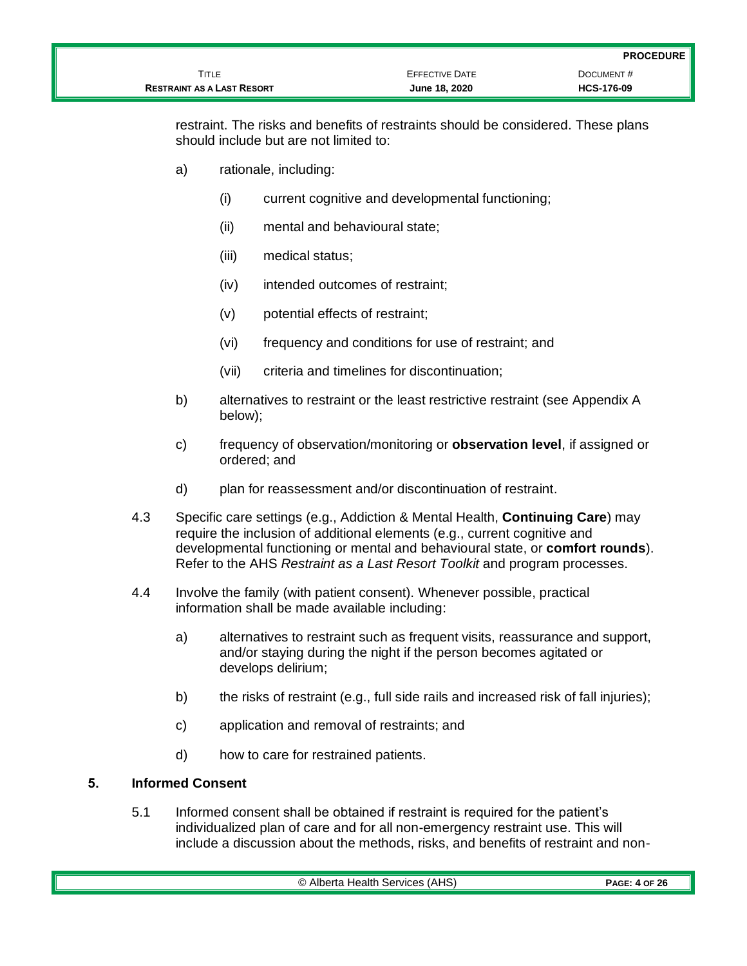|                                   |                       | <b>PROCEDURE</b>  |
|-----------------------------------|-----------------------|-------------------|
| TITLE                             | <b>EFFECTIVE DATE</b> | DOCUMENT#         |
| <b>RESTRAINT AS A LAST RESORT</b> | June 18, 2020         | <b>HCS-176-09</b> |

restraint. The risks and benefits of restraints should be considered. These plans should include but are not limited to:

- a) rationale, including:
	- (i) current cognitive and developmental functioning;
	- (ii) mental and behavioural state;
	- (iii) medical status;
	- (iv) intended outcomes of restraint;
	- (v) potential effects of restraint;
	- (vi) frequency and conditions for use of restraint; and
	- (vii) criteria and timelines for discontinuation;
- b) alternatives to restraint or the least restrictive restraint (see Appendix A below);
- c) frequency of observation/monitoring or **observation level**, if assigned or ordered; and
- d) plan for reassessment and/or discontinuation of restraint.
- 4.3 Specific care settings (e.g., Addiction & Mental Health, **Continuing Care**) may require the inclusion of additional elements (e.g., current cognitive and developmental functioning or mental and behavioural state, or **comfort rounds**). Refer to the AHS *Restraint as a Last Resort Toolkit* and program processes.
- 4.4 Involve the family (with patient consent). Whenever possible, practical information shall be made available including:
	- a) alternatives to restraint such as frequent visits, reassurance and support, and/or staying during the night if the person becomes agitated or develops delirium;
	- b) the risks of restraint (e.g., full side rails and increased risk of fall injuries);
	- c) application and removal of restraints; and
	- d) how to care for restrained patients.

## **5. Informed Consent**

5.1 Informed consent shall be obtained if restraint is required for the patient's individualized plan of care and for all non-emergency restraint use. This will include a discussion about the methods, risks, and benefits of restraint and non-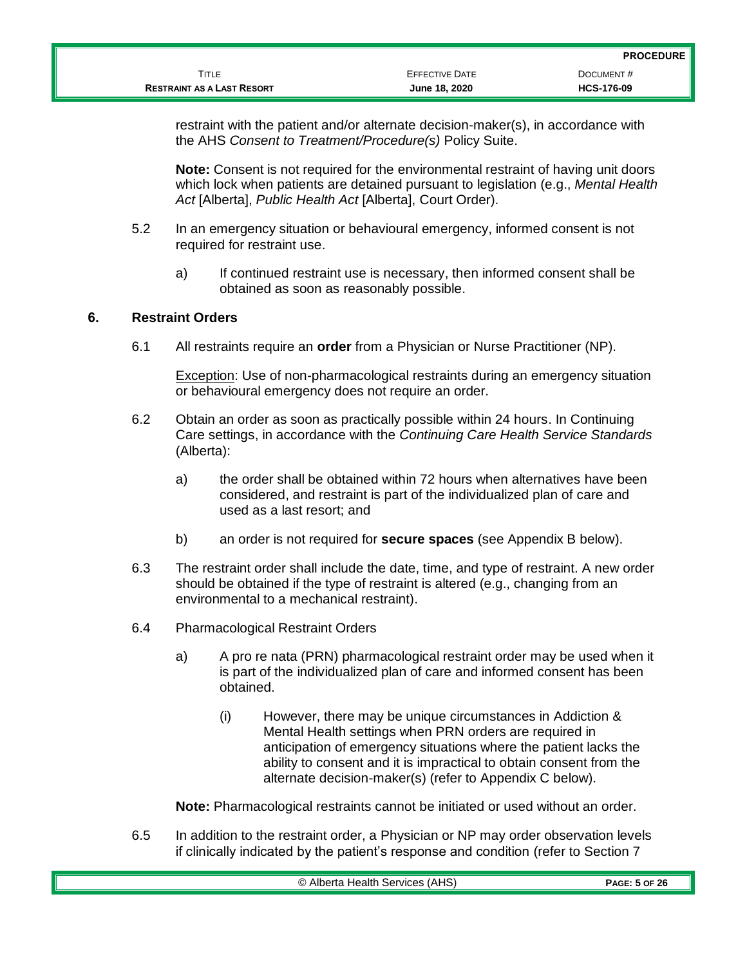restraint with the patient and/or alternate decision-maker(s), in accordance with the AHS *Consent to Treatment/Procedure(s)* Policy Suite.

**Note:** Consent is not required for the environmental restraint of having unit doors which lock when patients are detained pursuant to legislation (e.g., *Mental Health Act* [Alberta], *Public Health Act* [Alberta], Court Order).

- 5.2 In an emergency situation or behavioural emergency, informed consent is not required for restraint use.
	- a) If continued restraint use is necessary, then informed consent shall be obtained as soon as reasonably possible.

#### **6. Restraint Orders**

6.1 All restraints require an **order** from a Physician or Nurse Practitioner (NP).

**Exception: Use of non-pharmacological restraints during an emergency situation** or behavioural emergency does not require an order.

- 6.2 Obtain an order as soon as practically possible within 24 hours. In Continuing Care settings, in accordance with the *Continuing Care Health Service Standards* (Alberta):
	- a) the order shall be obtained within 72 hours when alternatives have been considered, and restraint is part of the individualized plan of care and used as a last resort; and
	- b) an order is not required for **secure spaces** (see Appendix B below).
- 6.3 The restraint order shall include the date, time, and type of restraint. A new order should be obtained if the type of restraint is altered (e.g., changing from an environmental to a mechanical restraint).
- 6.4 Pharmacological Restraint Orders
	- a) A pro re nata (PRN) pharmacological restraint order may be used when it is part of the individualized plan of care and informed consent has been obtained.
		- (i) However, there may be unique circumstances in Addiction & Mental Health settings when PRN orders are required in anticipation of emergency situations where the patient lacks the ability to consent and it is impractical to obtain consent from the alternate decision-maker(s) (refer to Appendix C below).

**Note:** Pharmacological restraints cannot be initiated or used without an order.

6.5 In addition to the restraint order, a Physician or NP may order observation levels if clinically indicated by the patient's response and condition (refer to Section 7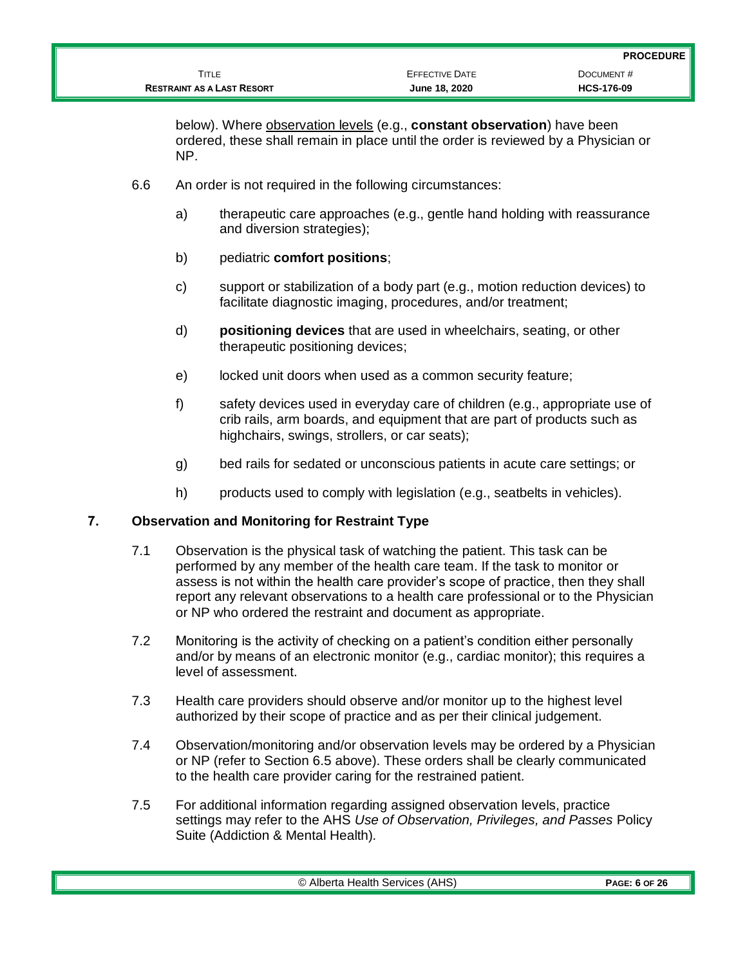below). Where observation levels (e.g., **constant observation**) have been ordered, these shall remain in place until the order is reviewed by a Physician or NP.

- 6.6 An order is not required in the following circumstances:
	- a) therapeutic care approaches (e.g., gentle hand holding with reassurance and diversion strategies);
	- b) pediatric **comfort positions**;
	- c) support or stabilization of a body part (e.g., motion reduction devices) to facilitate diagnostic imaging, procedures, and/or treatment;
	- d) **positioning devices** that are used in wheelchairs, seating, or other therapeutic positioning devices;
	- e) locked unit doors when used as a common security feature;
	- f) safety devices used in everyday care of children (e.g., appropriate use of crib rails, arm boards, and equipment that are part of products such as highchairs, swings, strollers, or car seats);
	- g) bed rails for sedated or unconscious patients in acute care settings; or
	- h) products used to comply with legislation (e.g., seatbelts in vehicles).

#### **7. Observation and Monitoring for Restraint Type**

- 7.1 Observation is the physical task of watching the patient. This task can be performed by any member of the health care team. If the task to monitor or assess is not within the health care provider's scope of practice, then they shall report any relevant observations to a health care professional or to the Physician or NP who ordered the restraint and document as appropriate.
- 7.2 Monitoring is the activity of checking on a patient's condition either personally and/or by means of an electronic monitor (e.g., cardiac monitor); this requires a level of assessment.
- 7.3 Health care providers should observe and/or monitor up to the highest level authorized by their scope of practice and as per their clinical judgement.
- 7.4 Observation/monitoring and/or observation levels may be ordered by a Physician or NP (refer to Section 6.5 above). These orders shall be clearly communicated to the health care provider caring for the restrained patient.
- 7.5 For additional information regarding assigned observation levels, practice settings may refer to the AHS *Use of Observation, Privileges, and Passes* Policy Suite (Addiction & Mental Health)*.*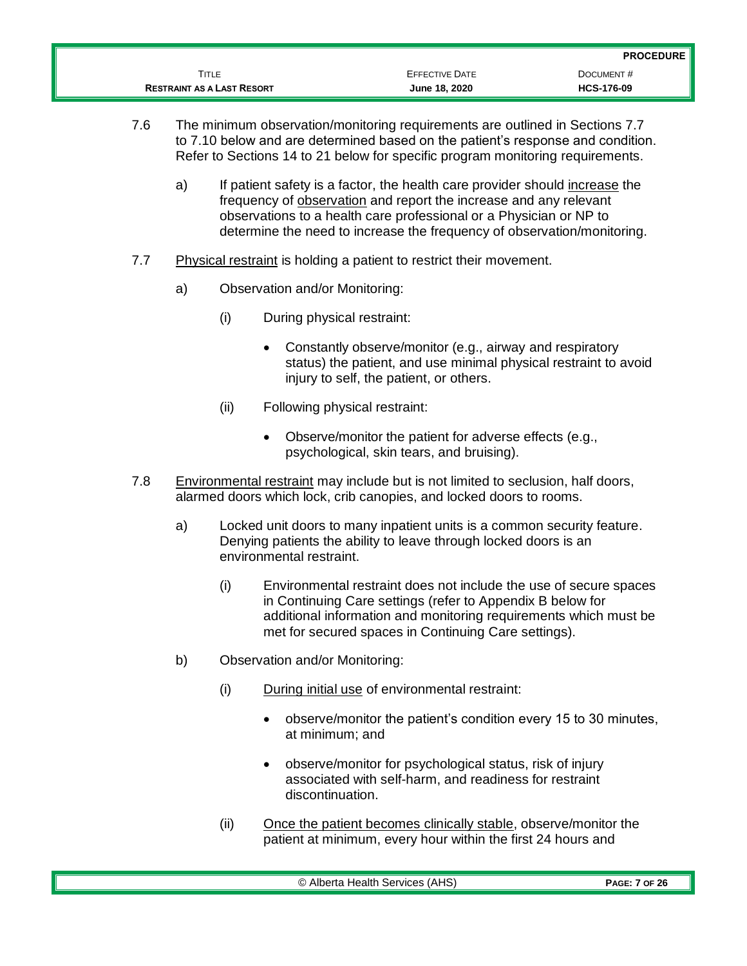| TITLE<br><b>RESTRAINT AS A LAST RESORT</b> | June 18, 2020         | <b>HCS-176-09</b>             |
|--------------------------------------------|-----------------------|-------------------------------|
|                                            | <b>EFFECTIVE DATE</b> | <b>PROCEDURE</b><br>DOCUMENT# |

- 7.6 The minimum observation/monitoring requirements are outlined in Sections 7.7 to 7.10 below and are determined based on the patient's response and condition. Refer to Sections 14 to 21 below for specific program monitoring requirements.
	- a) If patient safety is a factor, the health care provider should increase the frequency of observation and report the increase and any relevant observations to a health care professional or a Physician or NP to determine the need to increase the frequency of observation/monitoring.
- 7.7 Physical restraint is holding a patient to restrict their movement.
	- a) Observation and/or Monitoring:
		- (i) During physical restraint:
			- Constantly observe/monitor (e.g., airway and respiratory status) the patient, and use minimal physical restraint to avoid injury to self, the patient, or others.
		- (ii) Following physical restraint:
			- Observe/monitor the patient for adverse effects (e.g., psychological, skin tears, and bruising).
- 7.8 Environmental restraint may include but is not limited to seclusion, half doors, alarmed doors which lock, crib canopies, and locked doors to rooms.
	- a) Locked unit doors to many inpatient units is a common security feature. Denying patients the ability to leave through locked doors is an environmental restraint.
		- (i) Environmental restraint does not include the use of secure spaces in Continuing Care settings (refer to Appendix B below for additional information and monitoring requirements which must be met for secured spaces in Continuing Care settings).
	- b) Observation and/or Monitoring:
		- (i) During initial use of environmental restraint:
			- observe/monitor the patient's condition every 15 to 30 minutes, at minimum; and
			- observe/monitor for psychological status, risk of injury associated with self-harm, and readiness for restraint discontinuation.
		- (ii) Once the patient becomes clinically stable, observe/monitor the patient at minimum, every hour within the first 24 hours and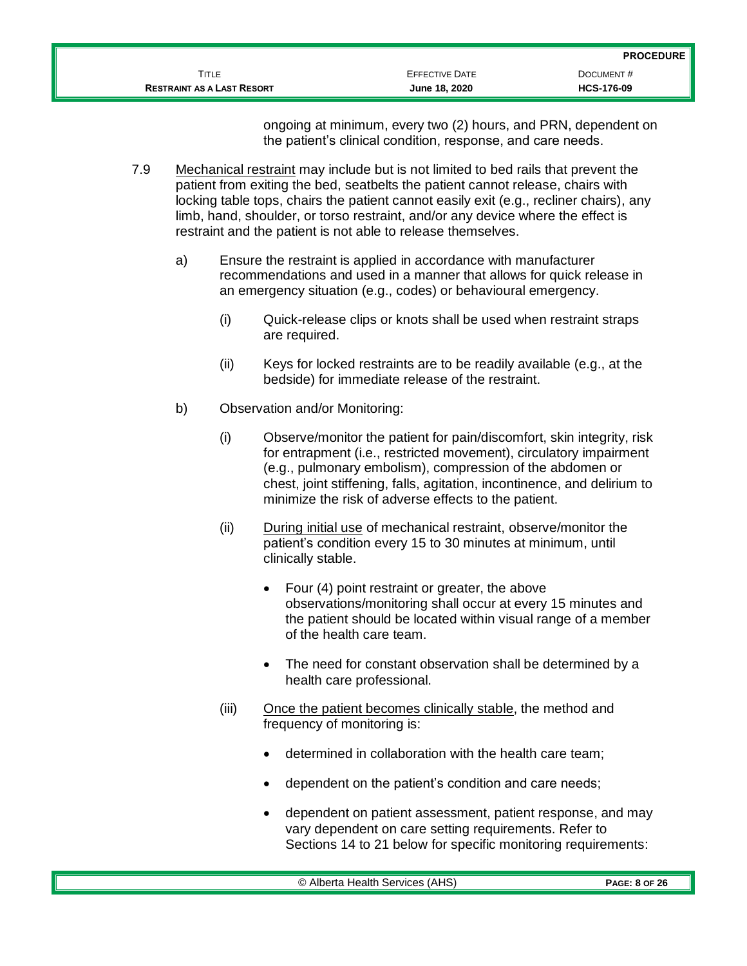| <b>EFFECTIVE DATE</b> | DOCUMENT#         |
|-----------------------|-------------------|
| June 18, 2020         | <b>HCS-176-09</b> |
|                       |                   |

ongoing at minimum, every two (2) hours, and PRN, dependent on the patient's clinical condition, response, and care needs.

- 7.9 Mechanical restraint may include but is not limited to bed rails that prevent the patient from exiting the bed, seatbelts the patient cannot release, chairs with locking table tops, chairs the patient cannot easily exit (e.g., recliner chairs), any limb, hand, shoulder, or torso restraint, and/or any device where the effect is restraint and the patient is not able to release themselves.
	- a) Ensure the restraint is applied in accordance with manufacturer recommendations and used in a manner that allows for quick release in an emergency situation (e.g., codes) or behavioural emergency.
		- (i) Quick-release clips or knots shall be used when restraint straps are required.
		- (ii) Keys for locked restraints are to be readily available (e.g., at the bedside) for immediate release of the restraint.
	- b) Observation and/or Monitoring:
		- (i) Observe/monitor the patient for pain/discomfort, skin integrity, risk for entrapment (i.e., restricted movement), circulatory impairment (e.g., pulmonary embolism), compression of the abdomen or chest, joint stiffening, falls, agitation, incontinence, and delirium to minimize the risk of adverse effects to the patient.
		- (ii) During initial use of mechanical restraint, observe/monitor the patient's condition every 15 to 30 minutes at minimum, until clinically stable.
			- Four (4) point restraint or greater, the above observations/monitoring shall occur at every 15 minutes and the patient should be located within visual range of a member of the health care team.
			- The need for constant observation shall be determined by a health care professional.
		- (iii) Once the patient becomes clinically stable, the method and frequency of monitoring is:
			- determined in collaboration with the health care team;
			- dependent on the patient's condition and care needs;
			- dependent on patient assessment, patient response, and may vary dependent on care setting requirements. Refer to Sections 14 to 21 below for specific monitoring requirements: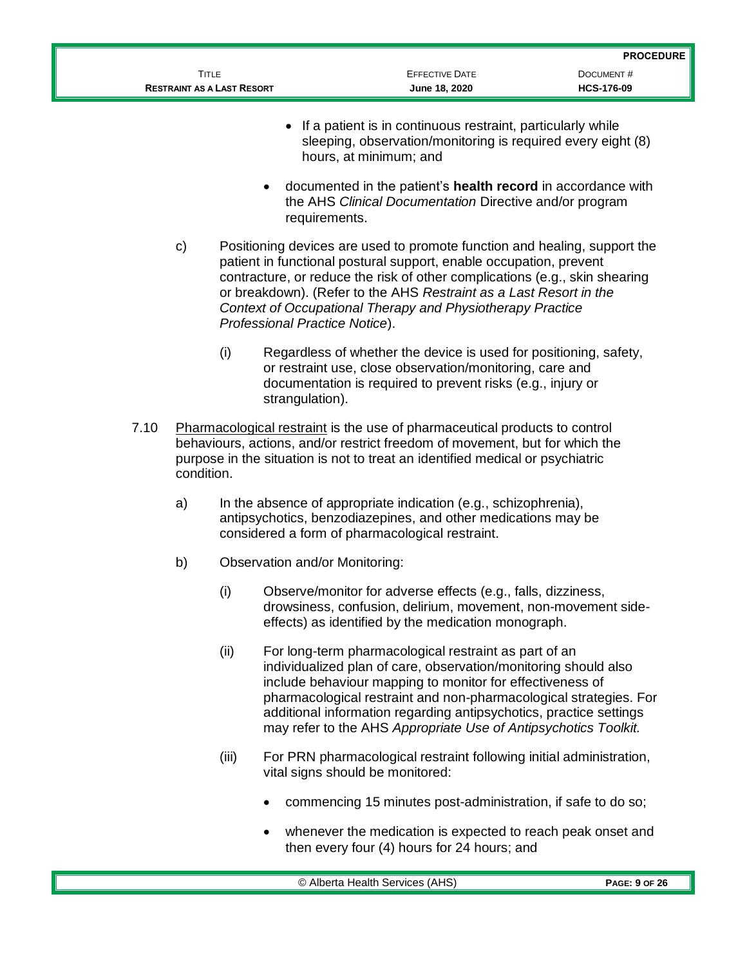|                                   |                       | <b>PROCEDURE</b>  |
|-----------------------------------|-----------------------|-------------------|
| Title                             | <b>EFFECTIVE DATE</b> | DOCUMENT#         |
| <b>RESTRAINT AS A LAST RESORT</b> | June 18, 2020         | <b>HCS-176-09</b> |

- If a patient is in continuous restraint, particularly while sleeping, observation/monitoring is required every eight (8) hours, at minimum; and
- documented in the patient's **health record** in accordance with the AHS *Clinical Documentation* Directive and/or program requirements.
- c) Positioning devices are used to promote function and healing, support the patient in functional postural support, enable occupation, prevent contracture, or reduce the risk of other complications (e.g., skin shearing or breakdown). (Refer to the AHS *Restraint as a Last Resort in the Context of Occupational Therapy and Physiotherapy Practice Professional Practice Notice*).
	- (i) Regardless of whether the device is used for positioning, safety, or restraint use, close observation/monitoring, care and documentation is required to prevent risks (e.g., injury or strangulation).
- 7.10 Pharmacological restraint is the use of pharmaceutical products to control behaviours, actions, and/or restrict freedom of movement, but for which the purpose in the situation is not to treat an identified medical or psychiatric condition.
	- a) In the absence of appropriate indication (e.g., schizophrenia), antipsychotics, benzodiazepines, and other medications may be considered a form of pharmacological restraint.
	- b) Observation and/or Monitoring:
		- (i) Observe/monitor for adverse effects (e.g., falls, dizziness, drowsiness, confusion, delirium, movement, non-movement sideeffects) as identified by the medication monograph.
		- (ii) For long-term pharmacological restraint as part of an individualized plan of care, observation/monitoring should also include behaviour mapping to monitor for effectiveness of pharmacological restraint and non-pharmacological strategies. For additional information regarding antipsychotics, practice settings may refer to the AHS *Appropriate Use of Antipsychotics Toolkit.*
		- (iii) For PRN pharmacological restraint following initial administration, vital signs should be monitored:
			- commencing 15 minutes post-administration, if safe to do so;
			- whenever the medication is expected to reach peak onset and then every four (4) hours for 24 hours; and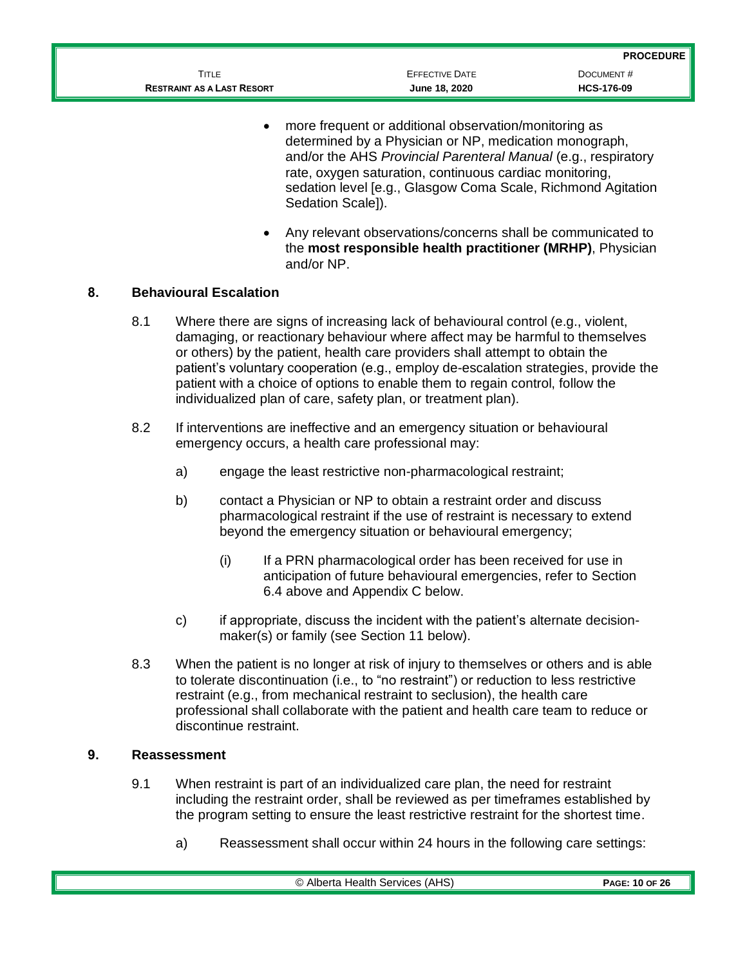|                                   |                       | <b>PROCEDURE</b>  |
|-----------------------------------|-----------------------|-------------------|
| Title                             | <b>EFFECTIVE DATE</b> | DOCUMENT#         |
| <b>RESTRAINT AS A LAST RESORT</b> | June 18, 2020         | <b>HCS-176-09</b> |

- more frequent or additional observation/monitoring as determined by a Physician or NP, medication monograph, and/or the AHS *Provincial Parenteral Manual* (e.g., respiratory rate, oxygen saturation, continuous cardiac monitoring, sedation level [e.g., Glasgow Coma Scale, Richmond Agitation Sedation Scale]).
- Any relevant observations/concerns shall be communicated to the **most responsible health practitioner (MRHP)**, Physician and/or NP.

#### **8. Behavioural Escalation**

- 8.1 Where there are signs of increasing lack of behavioural control (e.g., violent, damaging, or reactionary behaviour where affect may be harmful to themselves or others) by the patient, health care providers shall attempt to obtain the patient's voluntary cooperation (e.g., employ de-escalation strategies, provide the patient with a choice of options to enable them to regain control, follow the individualized plan of care, safety plan, or treatment plan).
- 8.2 If interventions are ineffective and an emergency situation or behavioural emergency occurs, a health care professional may:
	- a) engage the least restrictive non-pharmacological restraint;
	- b) contact a Physician or NP to obtain a restraint order and discuss pharmacological restraint if the use of restraint is necessary to extend beyond the emergency situation or behavioural emergency;
		- (i) If a PRN pharmacological order has been received for use in anticipation of future behavioural emergencies, refer to Section 6.4 above and Appendix C below.
	- c) if appropriate, discuss the incident with the patient's alternate decisionmaker(s) or family (see Section 11 below).
- 8.3 When the patient is no longer at risk of injury to themselves or others and is able to tolerate discontinuation (i.e., to "no restraint") or reduction to less restrictive restraint (e.g., from mechanical restraint to seclusion), the health care professional shall collaborate with the patient and health care team to reduce or discontinue restraint.

#### **9. Reassessment**

- 9.1 When restraint is part of an individualized care plan, the need for restraint including the restraint order, shall be reviewed as per timeframes established by the program setting to ensure the least restrictive restraint for the shortest time.
	- a) Reassessment shall occur within 24 hours in the following care settings: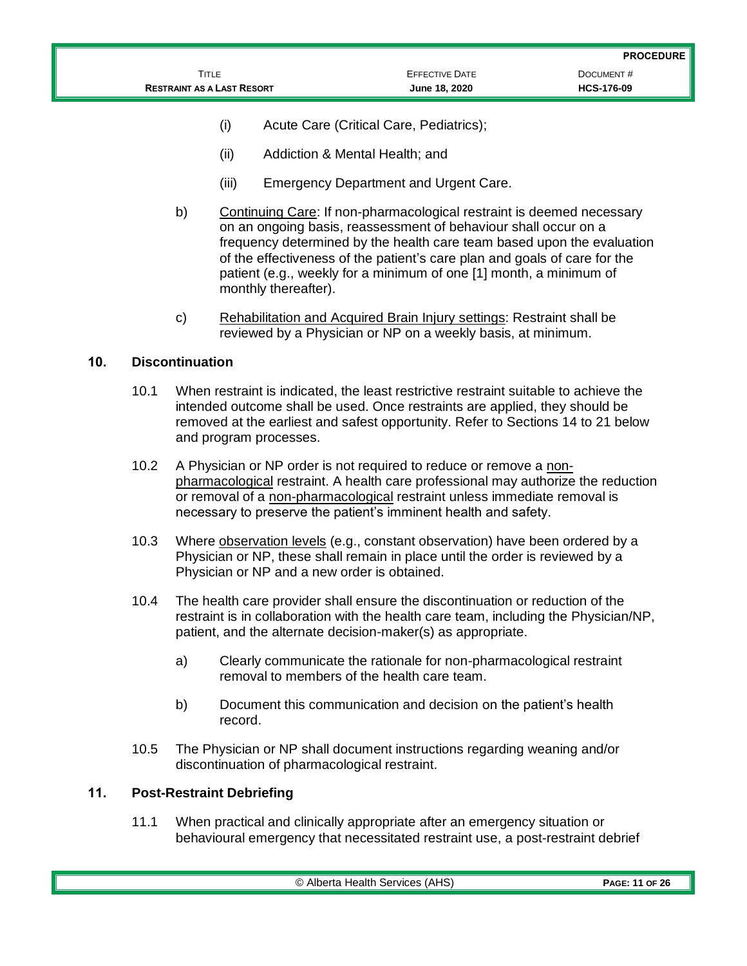|                                   |                       | <b>PROCEDURE</b>  |
|-----------------------------------|-----------------------|-------------------|
| TITLE                             | <b>EFFECTIVE DATE</b> | DOCUMENT#         |
| <b>RESTRAINT AS A LAST RESORT</b> | June 18, 2020         | <b>HCS-176-09</b> |

- (i) Acute Care (Critical Care, Pediatrics);
- (ii) Addiction & Mental Health; and
- (iii) Emergency Department and Urgent Care.
- b) Continuing Care: If non-pharmacological restraint is deemed necessary on an ongoing basis, reassessment of behaviour shall occur on a frequency determined by the health care team based upon the evaluation of the effectiveness of the patient's care plan and goals of care for the patient (e.g., weekly for a minimum of one [1] month, a minimum of monthly thereafter).
- c) Rehabilitation and Acquired Brain Injury settings: Restraint shall be reviewed by a Physician or NP on a weekly basis, at minimum.

## **10. Discontinuation**

- 10.1 When restraint is indicated, the least restrictive restraint suitable to achieve the intended outcome shall be used. Once restraints are applied, they should be removed at the earliest and safest opportunity. Refer to Sections 14 to 21 below and program processes.
- 10.2 A Physician or NP order is not required to reduce or remove a nonpharmacological restraint. A health care professional may authorize the reduction or removal of a non-pharmacological restraint unless immediate removal is necessary to preserve the patient's imminent health and safety.
- 10.3 Where **observation levels** (e.g., constant observation) have been ordered by a Physician or NP, these shall remain in place until the order is reviewed by a Physician or NP and a new order is obtained.
- 10.4 The health care provider shall ensure the discontinuation or reduction of the restraint is in collaboration with the health care team, including the Physician/NP, patient, and the alternate decision-maker(s) as appropriate.
	- a) Clearly communicate the rationale for non-pharmacological restraint removal to members of the health care team.
	- b) Document this communication and decision on the patient's health record.
- 10.5 The Physician or NP shall document instructions regarding weaning and/or discontinuation of pharmacological restraint.

## **11. Post-Restraint Debriefing**

11.1 When practical and clinically appropriate after an emergency situation or behavioural emergency that necessitated restraint use, a post-restraint debrief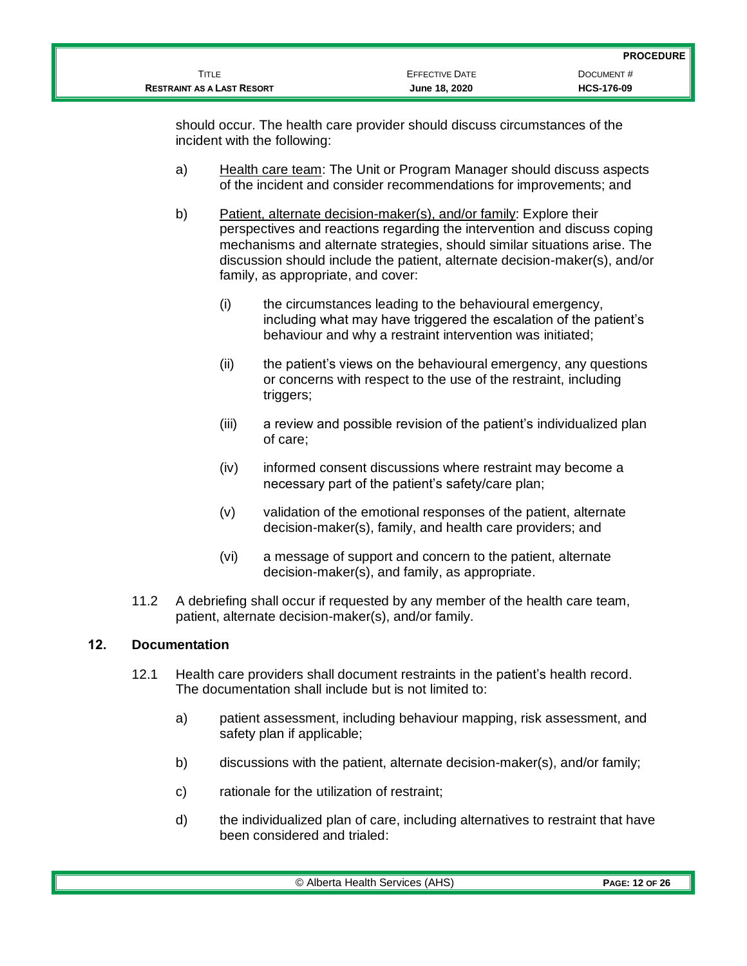|                                   |                       | <b>PROCEDURE</b>  |
|-----------------------------------|-----------------------|-------------------|
| TITLE                             | <b>EFFECTIVE DATE</b> | DOCUMENT#         |
| <b>RESTRAINT AS A LAST RESORT</b> | June 18, 2020         | <b>HCS-176-09</b> |

should occur. The health care provider should discuss circumstances of the incident with the following:

- a) Health care team: The Unit or Program Manager should discuss aspects of the incident and consider recommendations for improvements; and
- b) Patient, alternate decision-maker(s), and/or family: Explore their perspectives and reactions regarding the intervention and discuss coping mechanisms and alternate strategies, should similar situations arise. The discussion should include the patient, alternate decision-maker(s), and/or family, as appropriate, and cover:
	- (i) the circumstances leading to the behavioural emergency, including what may have triggered the escalation of the patient's behaviour and why a restraint intervention was initiated;
	- (ii) the patient's views on the behavioural emergency, any questions or concerns with respect to the use of the restraint, including triggers;
	- (iii) a review and possible revision of the patient's individualized plan of care;
	- (iv) informed consent discussions where restraint may become a necessary part of the patient's safety/care plan;
	- (v) validation of the emotional responses of the patient, alternate decision-maker(s), family, and health care providers; and
	- (vi) a message of support and concern to the patient, alternate decision-maker(s), and family, as appropriate.
- 11.2 A debriefing shall occur if requested by any member of the health care team, patient, alternate decision-maker(s), and/or family.

## **12. Documentation**

- 12.1 Health care providers shall document restraints in the patient's health record. The documentation shall include but is not limited to:
	- a) patient assessment, including behaviour mapping, risk assessment, and safety plan if applicable;
	- b) discussions with the patient, alternate decision-maker(s), and/or family;
	- c) rationale for the utilization of restraint;
	- d) the individualized plan of care, including alternatives to restraint that have been considered and trialed: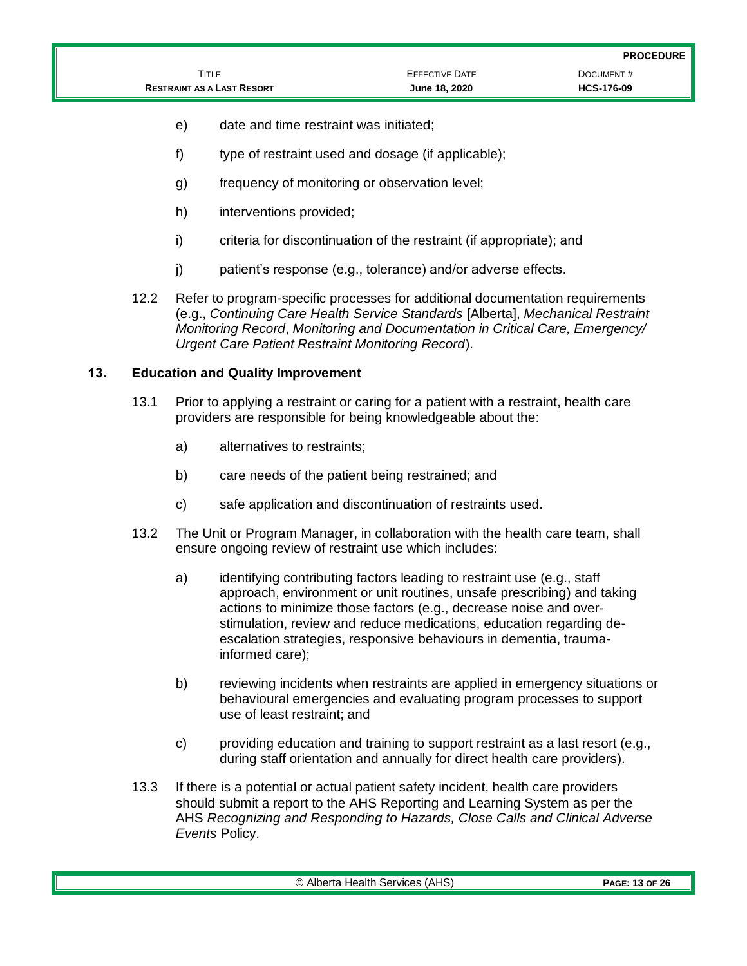|                                   |                       | <b>PROCEDURE</b>  |
|-----------------------------------|-----------------------|-------------------|
| TITLE                             | <b>EFFECTIVE DATE</b> | DOCUMENT#         |
| <b>RESTRAINT AS A LAST RESORT</b> | June 18, 2020         | <b>HCS-176-09</b> |

- e) date and time restraint was initiated;
- f) type of restraint used and dosage (if applicable);
- g) frequency of monitoring or observation level;
- h) interventions provided;
- i) criteria for discontinuation of the restraint (if appropriate); and
- j) patient's response (e.g., tolerance) and/or adverse effects.
- 12.2 Refer to program-specific processes for additional documentation requirements (e.g., *Continuing Care Health Service Standards* [Alberta], *Mechanical Restraint Monitoring Record*, *Monitoring and Documentation in Critical Care, Emergency/ Urgent Care Patient Restraint Monitoring Record*).

#### **13. Education and Quality Improvement**

- 13.1 Prior to applying a restraint or caring for a patient with a restraint, health care providers are responsible for being knowledgeable about the:
	- a) alternatives to restraints;
	- b) care needs of the patient being restrained; and
	- c) safe application and discontinuation of restraints used.
- 13.2 The Unit or Program Manager, in collaboration with the health care team, shall ensure ongoing review of restraint use which includes:
	- a) identifying contributing factors leading to restraint use (e.g., staff approach, environment or unit routines, unsafe prescribing) and taking actions to minimize those factors (e.g., decrease noise and overstimulation, review and reduce medications, education regarding deescalation strategies, responsive behaviours in dementia, traumainformed care);
	- b) reviewing incidents when restraints are applied in emergency situations or behavioural emergencies and evaluating program processes to support use of least restraint; and
	- c) providing education and training to support restraint as a last resort (e.g., during staff orientation and annually for direct health care providers).
- 13.3 If there is a potential or actual patient safety incident, health care providers should submit a report to the AHS Reporting and Learning System as per the AHS *Recognizing and Responding to Hazards, Close Calls and Clinical Adverse Events* Policy.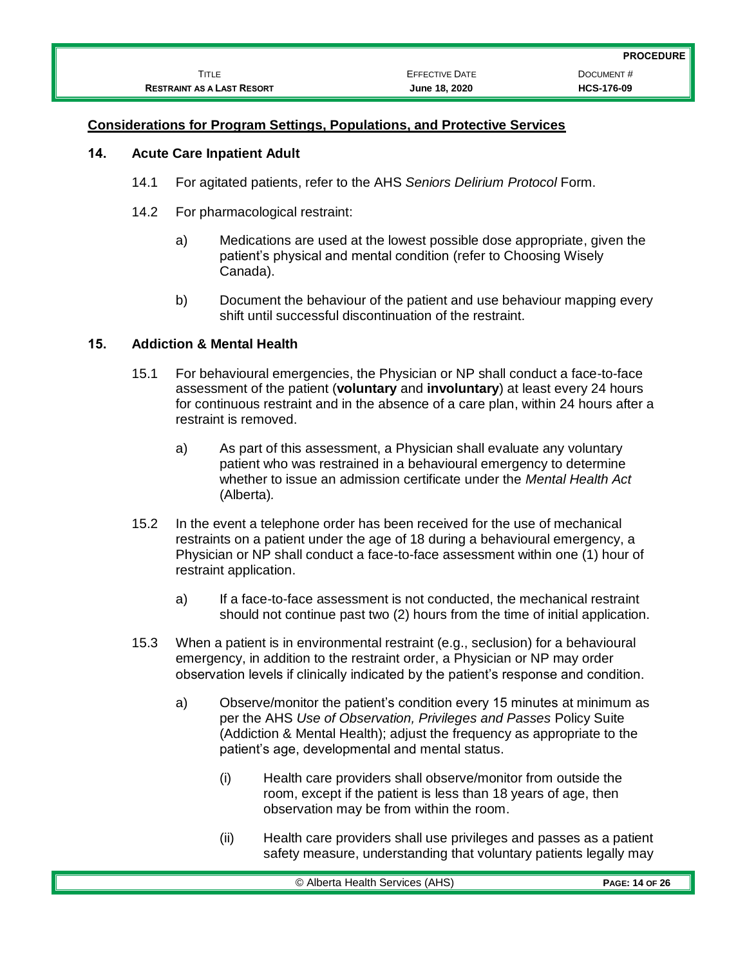|                                   |                       | <b>PROCEDURE</b>  |
|-----------------------------------|-----------------------|-------------------|
| Title                             | <b>EFFECTIVE DATE</b> | DOCUMENT#         |
| <b>RESTRAINT AS A LAST RESORT</b> | June 18, 2020         | <b>HCS-176-09</b> |

### **Considerations for Program Settings, Populations, and Protective Services**

#### **14. Acute Care Inpatient Adult**

- 14.1 For agitated patients, refer to the AHS *Seniors Delirium Protocol* Form.
- 14.2 For pharmacological restraint:
	- a) Medications are used at the lowest possible dose appropriate, given the patient's physical and mental condition (refer to Choosing Wisely Canada).
	- b) Document the behaviour of the patient and use behaviour mapping every shift until successful discontinuation of the restraint.

## **15. Addiction & Mental Health**

- 15.1 For behavioural emergencies, the Physician or NP shall conduct a face-to-face assessment of the patient (**voluntary** and **involuntary**) at least every 24 hours for continuous restraint and in the absence of a care plan, within 24 hours after a restraint is removed.
	- a) As part of this assessment, a Physician shall evaluate any voluntary patient who was restrained in a behavioural emergency to determine whether to issue an admission certificate under the *Mental Health Act* (Alberta)*.*
- 15.2 In the event a telephone order has been received for the use of mechanical restraints on a patient under the age of 18 during a behavioural emergency, a Physician or NP shall conduct a face-to-face assessment within one (1) hour of restraint application.
	- a) If a face-to-face assessment is not conducted, the mechanical restraint should not continue past two (2) hours from the time of initial application.
- 15.3 When a patient is in environmental restraint (e.g., seclusion) for a behavioural emergency, in addition to the restraint order, a Physician or NP may order observation levels if clinically indicated by the patient's response and condition.
	- a) Observe/monitor the patient's condition every 15 minutes at minimum as per the AHS *Use of Observation, Privileges and Passes* Policy Suite (Addiction & Mental Health); adjust the frequency as appropriate to the patient's age, developmental and mental status.
		- (i) Health care providers shall observe/monitor from outside the room, except if the patient is less than 18 years of age, then observation may be from within the room.
		- (ii) Health care providers shall use privileges and passes as a patient safety measure, understanding that voluntary patients legally may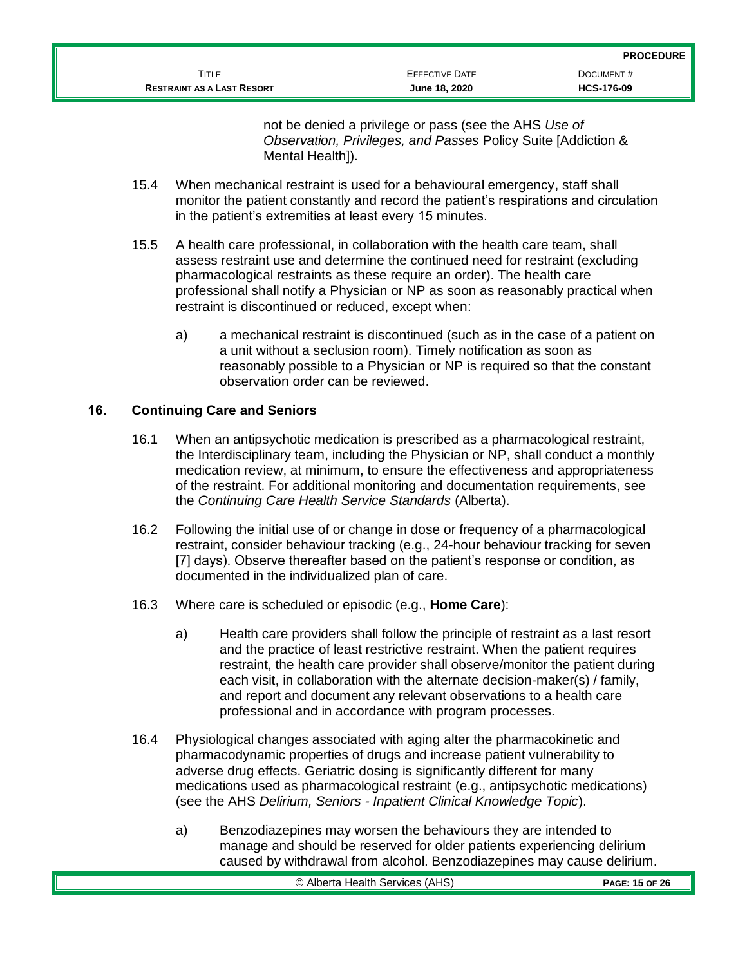| <b>RESTRAINT AS A LAST RESORT</b> | June 18, 2020         | <b>HCS-176-09</b> |
|-----------------------------------|-----------------------|-------------------|
| TITLE                             | <b>EFFECTIVE DATE</b> | DOCUMENT#         |
|                                   |                       | .                 |

not be denied a privilege or pass (see the AHS *Use of Observation, Privileges, and Passes* Policy Suite [Addiction & Mental Health<sub>1</sub>).

- 15.4 When mechanical restraint is used for a behavioural emergency, staff shall monitor the patient constantly and record the patient's respirations and circulation in the patient's extremities at least every 15 minutes.
- 15.5 A health care professional, in collaboration with the health care team, shall assess restraint use and determine the continued need for restraint (excluding pharmacological restraints as these require an order). The health care professional shall notify a Physician or NP as soon as reasonably practical when restraint is discontinued or reduced, except when:
	- a) a mechanical restraint is discontinued (such as in the case of a patient on a unit without a seclusion room). Timely notification as soon as reasonably possible to a Physician or NP is required so that the constant observation order can be reviewed.

## **16. Continuing Care and Seniors**

- 16.1 When an antipsychotic medication is prescribed as a pharmacological restraint, the Interdisciplinary team, including the Physician or NP, shall conduct a monthly medication review, at minimum, to ensure the effectiveness and appropriateness of the restraint. For additional monitoring and documentation requirements, see the *Continuing Care Health Service Standards* (Alberta).
- 16.2 Following the initial use of or change in dose or frequency of a pharmacological restraint, consider behaviour tracking (e.g., 24-hour behaviour tracking for seven [7] days). Observe thereafter based on the patient's response or condition, as documented in the individualized plan of care.
- 16.3 Where care is scheduled or episodic (e.g., **Home Care**):
	- a) Health care providers shall follow the principle of restraint as a last resort and the practice of least restrictive restraint. When the patient requires restraint, the health care provider shall observe/monitor the patient during each visit, in collaboration with the alternate decision-maker(s) / family, and report and document any relevant observations to a health care professional and in accordance with program processes.
- 16.4 Physiological changes associated with aging alter the pharmacokinetic and pharmacodynamic properties of drugs and increase patient vulnerability to adverse drug effects. Geriatric dosing is significantly different for many medications used as pharmacological restraint (e.g., antipsychotic medications) (see the AHS *Delirium, Seniors - Inpatient Clinical Knowledge Topic*).
	- a) Benzodiazepines may worsen the behaviours they are intended to manage and should be reserved for older patients experiencing delirium caused by withdrawal from alcohol. Benzodiazepines may cause delirium.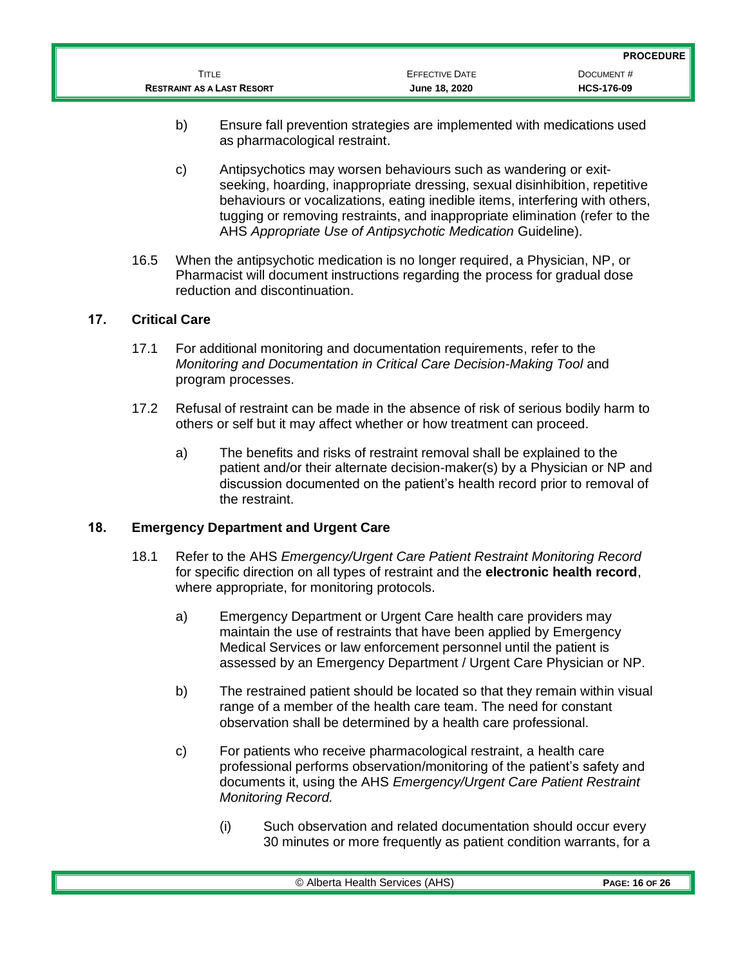|                                   |                       | <b>PROCEDURE</b>  |
|-----------------------------------|-----------------------|-------------------|
| Title                             | <b>EFFECTIVE DATE</b> | DOCUMENT#         |
| <b>RESTRAINT AS A LAST RESORT</b> | June 18, 2020         | <b>HCS-176-09</b> |

- b) Ensure fall prevention strategies are implemented with medications used as pharmacological restraint.
- c) Antipsychotics may worsen behaviours such as wandering or exitseeking, hoarding, inappropriate dressing, sexual disinhibition, repetitive behaviours or vocalizations, eating inedible items, interfering with others, tugging or removing restraints, and inappropriate elimination (refer to the AHS *Appropriate Use of Antipsychotic Medication* Guideline).
- 16.5 When the antipsychotic medication is no longer required, a Physician, NP, or Pharmacist will document instructions regarding the process for gradual dose reduction and discontinuation.

## **17. Critical Care**

- 17.1 For additional monitoring and documentation requirements, refer to the *Monitoring and Documentation in Critical Care Decision-Making Tool* and program processes.
- 17.2 Refusal of restraint can be made in the absence of risk of serious bodily harm to others or self but it may affect whether or how treatment can proceed.
	- a) The benefits and risks of restraint removal shall be explained to the patient and/or their alternate decision-maker(s) by a Physician or NP and discussion documented on the patient's health record prior to removal of the restraint.

#### **18. Emergency Department and Urgent Care**

- 18.1 Refer to the AHS *Emergency/Urgent Care Patient Restraint Monitoring Record* for specific direction on all types of restraint and the **electronic health record**, where appropriate, for monitoring protocols.
	- a) Emergency Department or Urgent Care health care providers may maintain the use of restraints that have been applied by Emergency Medical Services or law enforcement personnel until the patient is assessed by an Emergency Department / Urgent Care Physician or NP.
	- b) The restrained patient should be located so that they remain within visual range of a member of the health care team. The need for constant observation shall be determined by a health care professional.
	- c) For patients who receive pharmacological restraint, a health care professional performs observation/monitoring of the patient's safety and documents it, using the AHS *Emergency/Urgent Care Patient Restraint Monitoring Record.* 
		- (i) Such observation and related documentation should occur every 30 minutes or more frequently as patient condition warrants, for a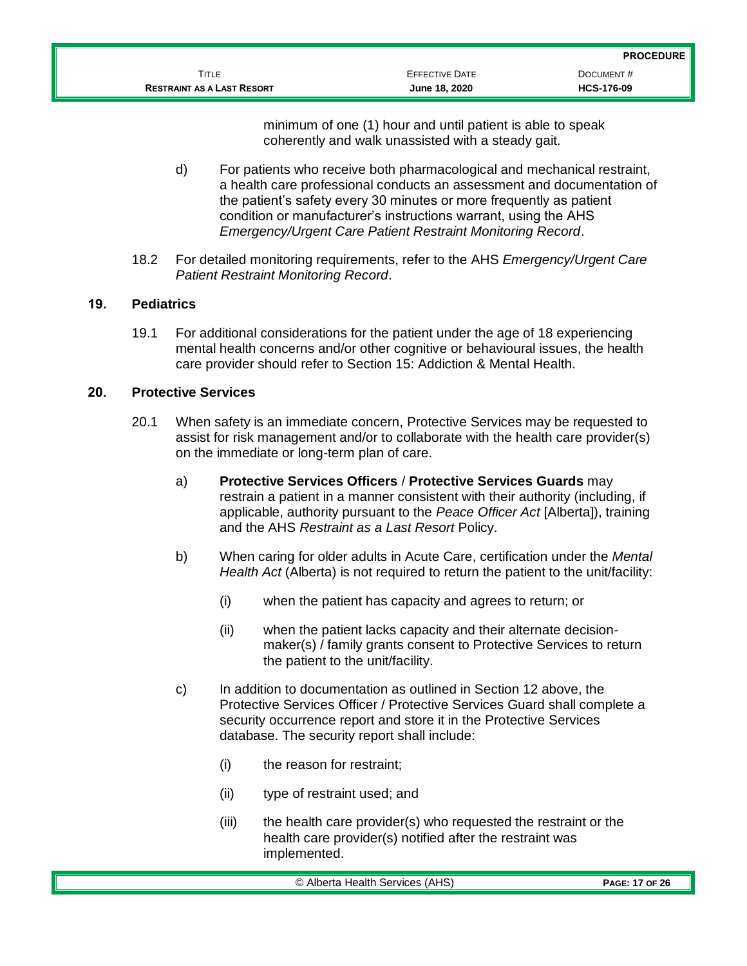minimum of one (1) hour and until patient is able to speak coherently and walk unassisted with a steady gait.

- d) For patients who receive both pharmacological and mechanical restraint, a health care professional conducts an assessment and documentation of the patient's safety every 30 minutes or more frequently as patient condition or manufacturer's instructions warrant, using the AHS *Emergency/Urgent Care Patient Restraint Monitoring Record*.
- 18.2 For detailed monitoring requirements, refer to the AHS *Emergency/Urgent Care Patient Restraint Monitoring Record*.

## **19. Pediatrics**

19.1 For additional considerations for the patient under the age of 18 experiencing mental health concerns and/or other cognitive or behavioural issues, the health care provider should refer to Section 15: Addiction & Mental Health.

### **20. Protective Services**

- 20.1 When safety is an immediate concern, Protective Services may be requested to assist for risk management and/or to collaborate with the health care provider(s) on the immediate or long-term plan of care.
	- a) **Protective Services Officers** / **Protective Services Guards** may restrain a patient in a manner consistent with their authority (including, if applicable, authority pursuant to the *Peace Officer Act* [Alberta]), training and the AHS *Restraint as a Last Resort* Policy.
	- b) When caring for older adults in Acute Care, certification under the *Mental Health Act* (Alberta) is not required to return the patient to the unit/facility:
		- (i) when the patient has capacity and agrees to return; or
		- (ii) when the patient lacks capacity and their alternate decisionmaker(s) / family grants consent to Protective Services to return the patient to the unit/facility.
	- c) In addition to documentation as outlined in Section 12 above, the Protective Services Officer / Protective Services Guard shall complete a security occurrence report and store it in the Protective Services database. The security report shall include:
		- (i) the reason for restraint;
		- (ii) type of restraint used; and
		- (iii) the health care provider(s) who requested the restraint or the health care provider(s) notified after the restraint was implemented.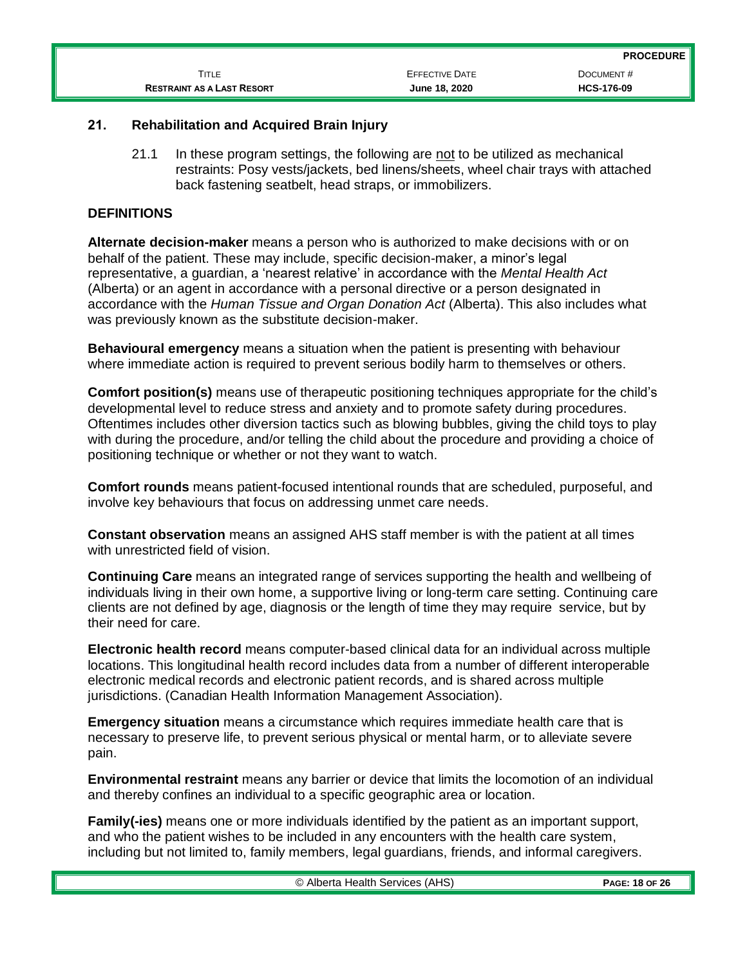|                                   |                       | <b>PROCEDURE</b>  |
|-----------------------------------|-----------------------|-------------------|
| ĪITLE                             | <b>EFFECTIVE DATE</b> | DOCUMENT#         |
| <b>RESTRAINT AS A LAST RESORT</b> | June 18, 2020         | <b>HCS-176-09</b> |

## **21. Rehabilitation and Acquired Brain Injury**

21.1 In these program settings, the following are not to be utilized as mechanical restraints: Posy vests/jackets, bed linens/sheets, wheel chair trays with attached back fastening seatbelt, head straps, or immobilizers.

## **DEFINITIONS**

**Alternate decision-maker** means a person who is authorized to make decisions with or on behalf of the patient. These may include, specific decision-maker, a minor's legal representative, a guardian, a 'nearest relative' in accordance with the *Mental Health Act* (Alberta) or an agent in accordance with a personal directive or a person designated in accordance with the *Human Tissue and Organ Donation Act* (Alberta). This also includes what was previously known as the substitute decision-maker.

**Behavioural emergency** means a situation when the patient is presenting with behaviour where immediate action is required to prevent serious bodily harm to themselves or others.

**Comfort position(s)** means use of therapeutic positioning techniques appropriate for the child's developmental level to reduce stress and anxiety and to promote safety during procedures. Oftentimes includes other diversion tactics such as blowing bubbles, giving the child toys to play with during the procedure, and/or telling the child about the procedure and providing a choice of positioning technique or whether or not they want to watch.

**Comfort rounds** means patient-focused intentional rounds that are scheduled, purposeful, and involve key behaviours that focus on addressing unmet care needs.

**Constant observation** means an assigned AHS staff member is with the patient at all times with unrestricted field of vision.

**Continuing Care** means an integrated range of services supporting the health and wellbeing of individuals living in their own home, a supportive living or long-term care setting. Continuing care clients are not defined by age, diagnosis or the length of time they may require service, but by their need for care.

**Electronic health record** means computer-based clinical data for an individual across multiple locations. This longitudinal health record includes data from a number of different interoperable electronic medical records and electronic patient records, and is shared across multiple jurisdictions. (Canadian Health Information Management Association).

**Emergency situation** means a circumstance which requires immediate health care that is necessary to preserve life, to prevent serious physical or mental harm, or to alleviate severe pain.

**Environmental restraint** means any barrier or device that limits the locomotion of an individual and thereby confines an individual to a specific geographic area or location.

**Family(-ies)** means one or more individuals identified by the patient as an important support, and who the patient wishes to be included in any encounters with the health care system, including but not limited to, family members, legal guardians, friends, and informal caregivers.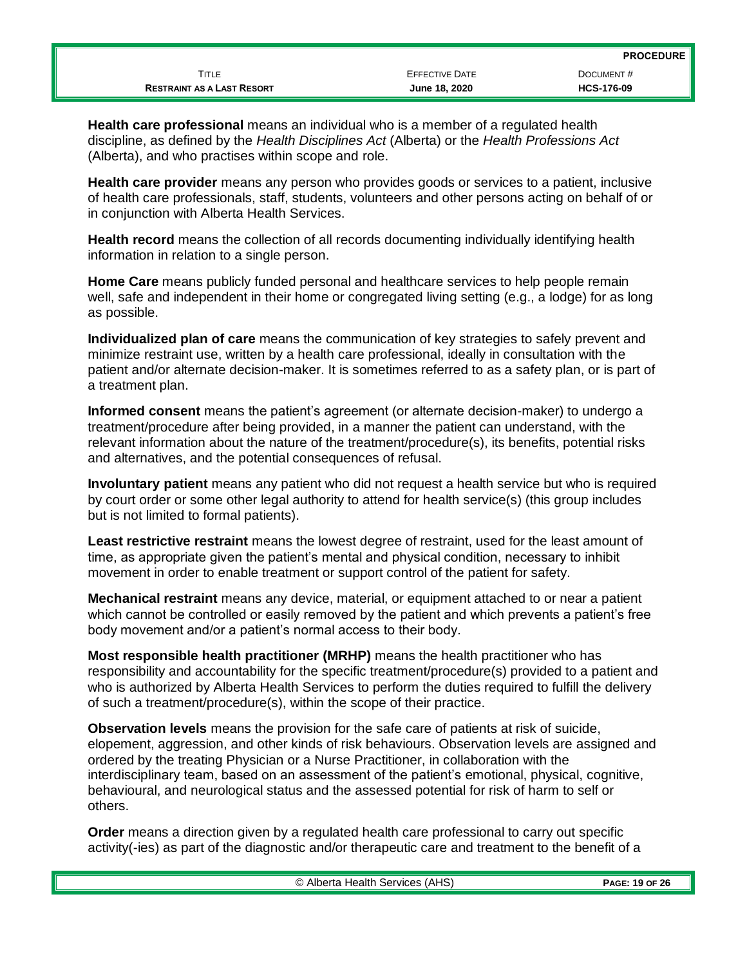|                                   |                | .                 |
|-----------------------------------|----------------|-------------------|
| TITLE                             | EFFECTIVE DATE | DOCUMENT#         |
| <b>RESTRAINT AS A LAST RESORT</b> | June 18, 2020  | <b>HCS-176-09</b> |
|                                   |                |                   |

**Health care professional** means an individual who is a member of a regulated health discipline, as defined by the *Health Disciplines Act* (Alberta) or the *Health Professions Act* (Alberta), and who practises within scope and role.

**Health care provider** means any person who provides goods or services to a patient, inclusive of health care professionals, staff, students, volunteers and other persons acting on behalf of or in conjunction with Alberta Health Services.

**Health record** means the collection of all records documenting individually identifying health information in relation to a single person.

**Home Care** means publicly funded personal and healthcare services to help people remain well, safe and independent in their home or congregated living setting (e.g., a lodge) for as long as possible.

**Individualized plan of care** means the communication of key strategies to safely prevent and minimize restraint use, written by a health care professional, ideally in consultation with the patient and/or alternate decision-maker. It is sometimes referred to as a safety plan, or is part of a treatment plan.

**Informed consent** means the patient's agreement (or alternate decision-maker) to undergo a treatment/procedure after being provided, in a manner the patient can understand, with the relevant information about the nature of the treatment/procedure(s), its benefits, potential risks and alternatives, and the potential consequences of refusal.

**Involuntary patient** means any patient who did not request a health service but who is required by court order or some other legal authority to attend for health service(s) (this group includes but is not limited to formal patients).

**Least restrictive restraint** means the lowest degree of restraint, used for the least amount of time, as appropriate given the patient's mental and physical condition, necessary to inhibit movement in order to enable treatment or support control of the patient for safety.

**Mechanical restraint** means any device, material, or equipment attached to or near a patient which cannot be controlled or easily removed by the patient and which prevents a patient's free body movement and/or a patient's normal access to their body.

**Most responsible health practitioner (MRHP)** means the health practitioner who has responsibility and accountability for the specific treatment/procedure(s) provided to a patient and who is authorized by Alberta Health Services to perform the duties required to fulfill the delivery of such a treatment/procedure(s), within the scope of their practice.

**Observation levels** means the provision for the safe care of patients at risk of suicide, elopement, aggression, and other kinds of risk behaviours. Observation levels are assigned and ordered by the treating Physician or a Nurse Practitioner, in collaboration with the interdisciplinary team, based on an assessment of the patient's emotional, physical, cognitive, behavioural, and neurological status and the assessed potential for risk of harm to self or others.

**Order** means a direction given by a regulated health care professional to carry out specific activity(-ies) as part of the diagnostic and/or therapeutic care and treatment to the benefit of a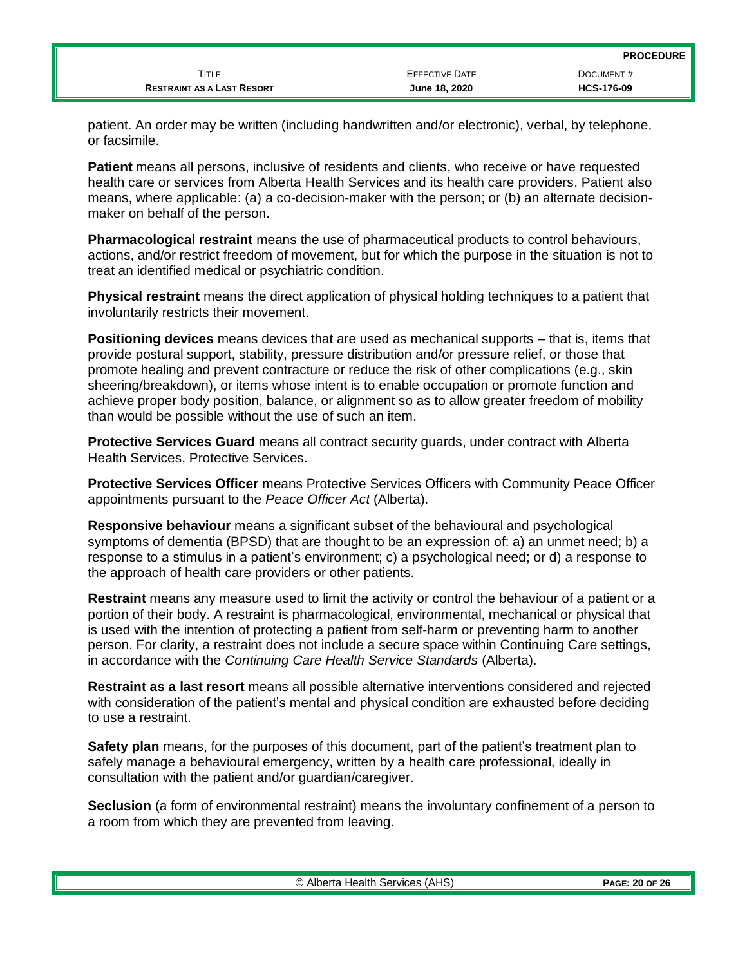|                                   |                       | <b>PROCEDURE</b>  |
|-----------------------------------|-----------------------|-------------------|
| TITLE                             | <b>EFFECTIVE DATE</b> | DOCUMENT#         |
| <b>RESTRAINT AS A LAST RESORT</b> | June 18, 2020         | <b>HCS-176-09</b> |

patient. An order may be written (including handwritten and/or electronic), verbal, by telephone, or facsimile.

**Patient** means all persons, inclusive of residents and clients, who receive or have requested health care or services from Alberta Health Services and its health care providers. Patient also means, where applicable: (a) a co-decision-maker with the person; or (b) an alternate decisionmaker on behalf of the person.

**Pharmacological restraint** means the use of pharmaceutical products to control behaviours, actions, and/or restrict freedom of movement, but for which the purpose in the situation is not to treat an identified medical or psychiatric condition.

**Physical restraint** means the direct application of physical holding techniques to a patient that involuntarily restricts their movement.

**Positioning devices** means devices that are used as mechanical supports – that is, items that provide postural support, stability, pressure distribution and/or pressure relief, or those that promote healing and prevent contracture or reduce the risk of other complications (e.g., skin sheering/breakdown), or items whose intent is to enable occupation or promote function and achieve proper body position, balance, or alignment so as to allow greater freedom of mobility than would be possible without the use of such an item.

**Protective Services Guard** means all contract security guards, under contract with Alberta Health Services, Protective Services.

**Protective Services Officer** means Protective Services Officers with Community Peace Officer appointments pursuant to the *Peace Officer Act* (Alberta).

**Responsive behaviour** means a significant subset of the behavioural and psychological symptoms of dementia (BPSD) that are thought to be an expression of: a) an unmet need; b) a response to a stimulus in a patient's environment; c) a psychological need; or d) a response to the approach of health care providers or other patients.

**Restraint** means any measure used to limit the activity or control the behaviour of a patient or a portion of their body. A restraint is pharmacological, environmental, mechanical or physical that is used with the intention of protecting a patient from self-harm or preventing harm to another person. For clarity, a restraint does not include a secure space within Continuing Care settings, in accordance with the *Continuing Care Health Service Standards* (Alberta).

**Restraint as a last resort** means all possible alternative interventions considered and rejected with consideration of the patient's mental and physical condition are exhausted before deciding to use a restraint.

**Safety plan** means, for the purposes of this document, part of the patient's treatment plan to safely manage a behavioural emergency, written by a health care professional, ideally in consultation with the patient and/or guardian/caregiver.

**Seclusion** (a form of environmental restraint) means the involuntary confinement of a person to a room from which they are prevented from leaving.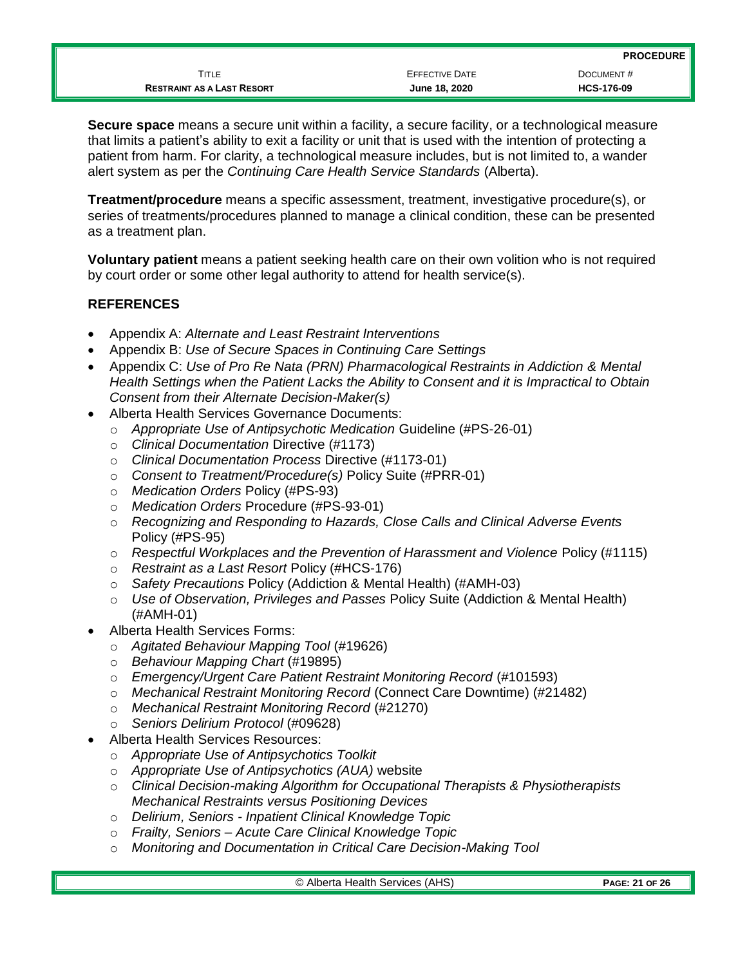**Secure space** means a secure unit within a facility, a secure facility, or a technological measure that limits a patient's ability to exit a facility or unit that is used with the intention of protecting a patient from harm. For clarity, a technological measure includes, but is not limited to, a wander alert system as per the *Continuing Care Health Service Standards* (Alberta).

**Treatment/procedure** means a specific assessment, treatment, investigative procedure(s), or series of treatments/procedures planned to manage a clinical condition, these can be presented as a treatment plan.

**Voluntary patient** means a patient seeking health care on their own volition who is not required by court order or some other legal authority to attend for health service(s).

## **REFERENCES**

- Appendix A: *Alternate and Least Restraint Interventions*
- Appendix B: *Use of Secure Spaces in Continuing Care Settings*
- Appendix C: *Use of Pro Re Nata (PRN) Pharmacological Restraints in Addiction & Mental Health Settings when the Patient Lacks the Ability to Consent and it is Impractical to Obtain Consent from their Alternate Decision-Maker(s)*
- Alberta Health Services Governance Documents:
	- o *Appropriate Use of Antipsychotic Medication* Guideline (#PS-26-01)
	- o *Clinical Documentation* Directive (#1173)
	- o *Clinical Documentation Process* Directive (#1173-01)
	- o *Consent to Treatment/Procedure(s)* Policy Suite (#PRR-01)
	- o *Medication Orders* Policy (#PS-93)
	- o *Medication Orders* Procedure (#PS-93-01)
	- o *Recognizing and Responding to Hazards, Close Calls and Clinical Adverse Events* Policy (#PS-95)
	- o *Respectful Workplaces and the Prevention of Harassment and Violence* Policy (#1115)
	- o *Restraint as a Last Resort* Policy (#HCS-176)
	- o *Safety Precautions* Policy (Addiction & Mental Health) (#AMH-03)
	- o *Use of Observation, Privileges and Passes* Policy Suite (Addiction & Mental Health) (#AMH-01)
- Alberta Health Services Forms:
	- o *Agitated Behaviour Mapping Tool* (#19626)
	- o *Behaviour Mapping Chart* (#19895)
	- o *Emergency/Urgent Care Patient Restraint Monitoring Record* (#101593)
	- o *Mechanical Restraint Monitoring Record* (Connect Care Downtime) (#21482)
	- o *Mechanical Restraint Monitoring Record* (#21270)
	- o *Seniors Delirium Protocol* (#09628)
- Alberta Health Services Resources:
	- o *Appropriate Use of Antipsychotics Toolkit*
	- o *Appropriate Use of Antipsychotics (AUA)* website
	- o *Clinical Decision-making Algorithm for Occupational Therapists & Physiotherapists Mechanical Restraints versus Positioning Devices*
	- o *Delirium, Seniors - Inpatient Clinical Knowledge Topic*
	- o *Frailty, Seniors – Acute Care Clinical Knowledge Topic*
	- o *Monitoring and Documentation in Critical Care Decision-Making Tool*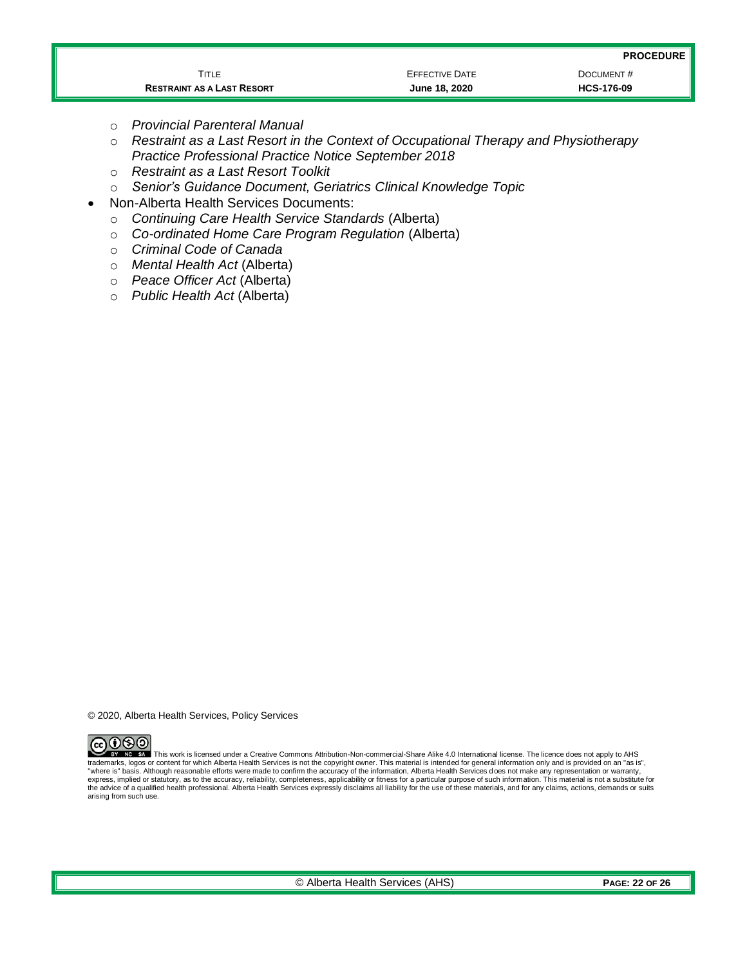| <b>PROCEDURE</b> |
|------------------|
|------------------|

|                                   |                       | - - - - - - - - - |
|-----------------------------------|-----------------------|-------------------|
| Title                             | <b>EFFECTIVE DATE</b> | DOCUMENT#         |
| <b>RESTRAINT AS A LAST RESORT</b> | June 18, 2020         | <b>HCS-176-09</b> |

- o *Provincial Parenteral Manual*
- o *Restraint as a Last Resort in the Context of Occupational Therapy and Physiotherapy Practice Professional Practice Notice September 2018*
- o *Restraint as a Last Resort Toolkit*
- o *Senior's Guidance Document, Geriatrics Clinical Knowledge Topic*
- Non-Alberta Health Services Documents:
	- o *Continuing Care Health Service Standards* (Alberta)
	- o *Co-ordinated Home Care Program Regulation* (Alberta)
	- o *Criminal Code of Canada*
	- o *Mental Health Act* (Alberta)
	- o *Peace Officer Act* (Alberta)
	- o *Public Health Act* (Alberta)

© 2020, Alberta Health Services, Policy Services



This work is licensed under a Creative Commons Attribution-Non-commercial-Share Alike 4.0 International license. The licence does not apply to AHS trademarks, logos or content for which Alberta Health Services is not the copyright owner. This material is intended for general information only and is provided on an "as is", "where is" basis. Although reasonable efforts were made to confirm the accuracy of the information, Alberta Health Services does not make any representation or warranty,<br>express, implied or statutory, as to the accuracy, r the advice of a qualified health professional. Alberta Health Services expressly disclaims all liability for the use of these materials, and for any claims, actions, demands or suits arising from such use.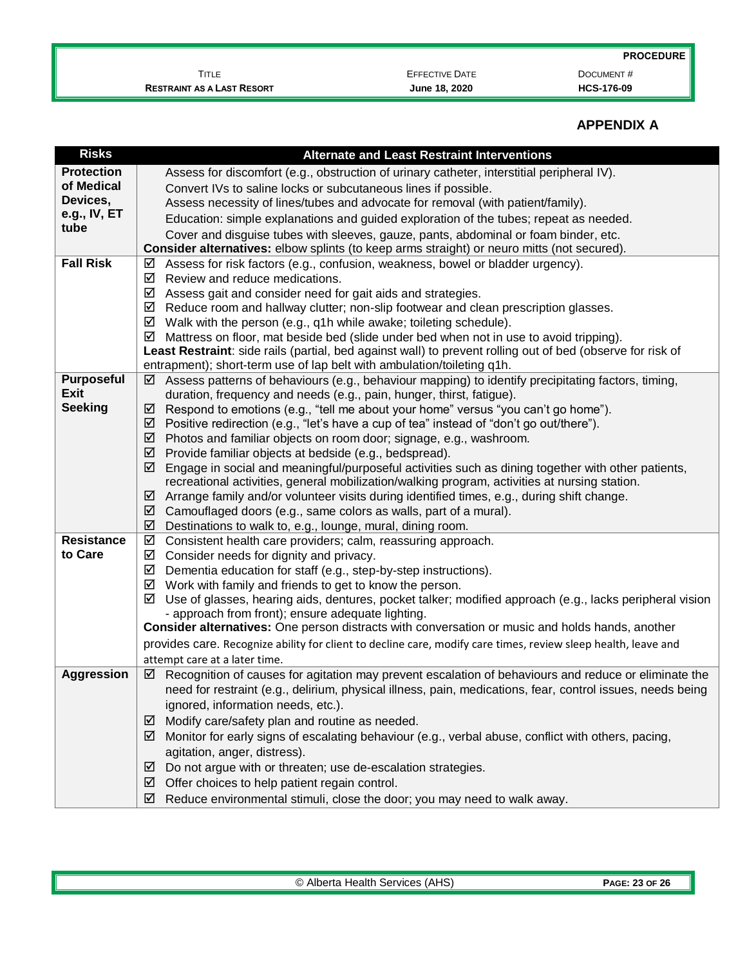**PROCEDURE**

TITLE **EFFECTIVE DATE DOCUMENT # RESTRAINT AS A LAST RESORT June 18, 2020 HCS-176-09**

# **APPENDIX A**

| <b>Risks</b>              | <b>Alternate and Least Restraint Interventions</b>                                                                                                             |
|---------------------------|----------------------------------------------------------------------------------------------------------------------------------------------------------------|
| <b>Protection</b>         | Assess for discomfort (e.g., obstruction of urinary catheter, interstitial peripheral IV).                                                                     |
| of Medical                | Convert IVs to saline locks or subcutaneous lines if possible.                                                                                                 |
| Devices,                  | Assess necessity of lines/tubes and advocate for removal (with patient/family).                                                                                |
| e.g., IV, ET              | Education: simple explanations and guided exploration of the tubes; repeat as needed.                                                                          |
| tube                      | Cover and disguise tubes with sleeves, gauze, pants, abdominal or foam binder, etc.                                                                            |
|                           | Consider alternatives: elbow splints (to keep arms straight) or neuro mitts (not secured).                                                                     |
| <b>Fall Risk</b>          | Assess for risk factors (e.g., confusion, weakness, bowel or bladder urgency).<br>☑                                                                            |
|                           | Review and reduce medications.<br>☑                                                                                                                            |
|                           | Assess gait and consider need for gait aids and strategies.<br>☑                                                                                               |
|                           | Reduce room and hallway clutter; non-slip footwear and clean prescription glasses.<br>☑                                                                        |
|                           | Walk with the person (e.g., q1h while awake; toileting schedule).<br>☑                                                                                         |
|                           | Mattress on floor, mat beside bed (slide under bed when not in use to avoid tripping).<br>☑                                                                    |
|                           | Least Restraint: side rails (partial, bed against wall) to prevent rolling out of bed (observe for risk of                                                     |
|                           | entrapment); short-term use of lap belt with ambulation/toileting q1h.                                                                                         |
| Purposeful<br><b>Exit</b> | Assess patterns of behaviours (e.g., behaviour mapping) to identify precipitating factors, timing,<br>⊻                                                        |
| <b>Seeking</b>            | duration, frequency and needs (e.g., pain, hunger, thirst, fatigue).<br>Respond to emotions (e.g., "tell me about your home" versus "you can't go home").<br>☑ |
|                           | Positive redirection (e.g., "let's have a cup of tea" instead of "don't go out/there").<br>⊻                                                                   |
|                           | Photos and familiar objects on room door; signage, e.g., washroom.<br>☑                                                                                        |
|                           | Provide familiar objects at bedside (e.g., bedspread).<br>☑                                                                                                    |
|                           | Engage in social and meaningful/purposeful activities such as dining together with other patients,<br>☑                                                        |
|                           | recreational activities, general mobilization/walking program, activities at nursing station.                                                                  |
|                           | Arrange family and/or volunteer visits during identified times, e.g., during shift change.<br>☑                                                                |
|                           | Camouflaged doors (e.g., same colors as walls, part of a mural).<br>☑                                                                                          |
|                           | Destinations to walk to, e.g., lounge, mural, dining room.<br>☑                                                                                                |
| <b>Resistance</b>         | ☑<br>Consistent health care providers; calm, reassuring approach.                                                                                              |
| to Care                   | Consider needs for dignity and privacy.<br>☑                                                                                                                   |
|                           | Dementia education for staff (e.g., step-by-step instructions).<br>☑                                                                                           |
|                           | Work with family and friends to get to know the person.<br>☑                                                                                                   |
|                           | Use of glasses, hearing aids, dentures, pocket talker; modified approach (e.g., lacks peripheral vision<br>☑                                                   |
|                           | - approach from front); ensure adequate lighting.                                                                                                              |
|                           | <b>Consider alternatives:</b> One person distracts with conversation or music and holds hands, another                                                         |
|                           | provides care. Recognize ability for client to decline care, modify care times, review sleep health, leave and                                                 |
|                           | attempt care at a later time.                                                                                                                                  |
| <b>Aggression</b>         | ☑<br>Recognition of causes for agitation may prevent escalation of behaviours and reduce or eliminate the                                                      |
|                           | need for restraint (e.g., delirium, physical illness, pain, medications, fear, control issues, needs being                                                     |
|                           | ignored, information needs, etc.).                                                                                                                             |
|                           | Modify care/safety plan and routine as needed.<br>⊻                                                                                                            |
|                           | Monitor for early signs of escalating behaviour (e.g., verbal abuse, conflict with others, pacing,<br>☑                                                        |
|                           | agitation, anger, distress).                                                                                                                                   |
|                           | Do not argue with or threaten; use de-escalation strategies.<br>☑                                                                                              |
|                           | Offer choices to help patient regain control.<br>☑                                                                                                             |
|                           | $\boxtimes$ Reduce environmental stimuli, close the door; you may need to walk away.                                                                           |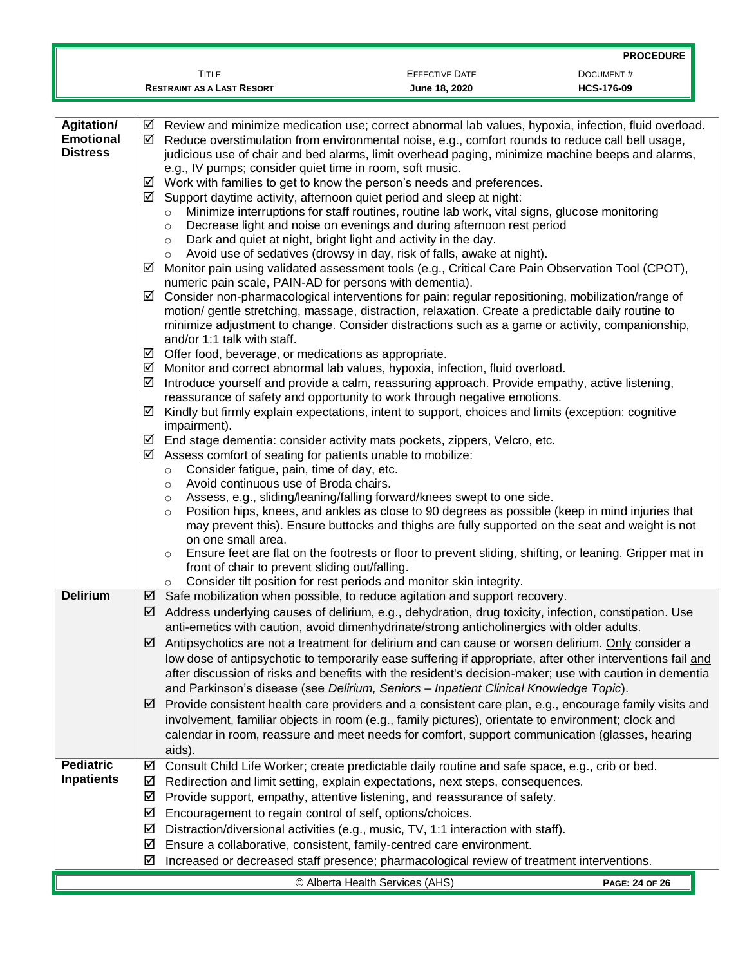|                                                          |                                                                                                                                                                                                                                                                                                                                                                                                                                                                                                                                                                                                                       |                                                                                                                                                                                                                                                                                                                                                                                                                                                                                                                                                                                                                                                                                                                                                                                                                                                                                                                                                                                                                                                                                                                                                                                                                                                                                                                                                                                                                                                                                                                                                                                                                                                                                                                                                                                                                                                                                                                                                                                                                                                   | <b>PROCEDURE</b>  |
|----------------------------------------------------------|-----------------------------------------------------------------------------------------------------------------------------------------------------------------------------------------------------------------------------------------------------------------------------------------------------------------------------------------------------------------------------------------------------------------------------------------------------------------------------------------------------------------------------------------------------------------------------------------------------------------------|---------------------------------------------------------------------------------------------------------------------------------------------------------------------------------------------------------------------------------------------------------------------------------------------------------------------------------------------------------------------------------------------------------------------------------------------------------------------------------------------------------------------------------------------------------------------------------------------------------------------------------------------------------------------------------------------------------------------------------------------------------------------------------------------------------------------------------------------------------------------------------------------------------------------------------------------------------------------------------------------------------------------------------------------------------------------------------------------------------------------------------------------------------------------------------------------------------------------------------------------------------------------------------------------------------------------------------------------------------------------------------------------------------------------------------------------------------------------------------------------------------------------------------------------------------------------------------------------------------------------------------------------------------------------------------------------------------------------------------------------------------------------------------------------------------------------------------------------------------------------------------------------------------------------------------------------------------------------------------------------------------------------------------------------------|-------------------|
|                                                          | <b>TITLE</b>                                                                                                                                                                                                                                                                                                                                                                                                                                                                                                                                                                                                          | <b>EFFECTIVE DATE</b>                                                                                                                                                                                                                                                                                                                                                                                                                                                                                                                                                                                                                                                                                                                                                                                                                                                                                                                                                                                                                                                                                                                                                                                                                                                                                                                                                                                                                                                                                                                                                                                                                                                                                                                                                                                                                                                                                                                                                                                                                             | DOCUMENT#         |
|                                                          | <b>RESTRAINT AS A LAST RESORT</b>                                                                                                                                                                                                                                                                                                                                                                                                                                                                                                                                                                                     | June 18, 2020                                                                                                                                                                                                                                                                                                                                                                                                                                                                                                                                                                                                                                                                                                                                                                                                                                                                                                                                                                                                                                                                                                                                                                                                                                                                                                                                                                                                                                                                                                                                                                                                                                                                                                                                                                                                                                                                                                                                                                                                                                     | <b>HCS-176-09</b> |
|                                                          |                                                                                                                                                                                                                                                                                                                                                                                                                                                                                                                                                                                                                       |                                                                                                                                                                                                                                                                                                                                                                                                                                                                                                                                                                                                                                                                                                                                                                                                                                                                                                                                                                                                                                                                                                                                                                                                                                                                                                                                                                                                                                                                                                                                                                                                                                                                                                                                                                                                                                                                                                                                                                                                                                                   |                   |
| <b>Agitation/</b><br><b>Emotional</b><br><b>Distress</b> | ☑<br>☑<br>e.g., IV pumps; consider quiet time in room, soft music.<br>☑<br>☑<br>$\circ$<br>$\circ$<br>$\circ$<br>$\circ$<br>☑<br>numeric pain scale, PAIN-AD for persons with dementia).<br>⊻<br>and/or 1:1 talk with staff.<br>Offer food, beverage, or medications as appropriate.<br>⊻<br>⊻<br>☑<br>☑<br>impairment).<br>☑<br>Assess comfort of seating for patients unable to mobilize:<br>☑<br>Consider fatigue, pain, time of day, etc.<br>$\circ$<br>Avoid continuous use of Broda chairs.<br>$\circ$<br>$\circ$<br>$\circ$<br>on one small area.<br>$\circ$<br>front of chair to prevent sliding out/falling. | Review and minimize medication use; correct abnormal lab values, hypoxia, infection, fluid overload.<br>Reduce overstimulation from environmental noise, e.g., comfort rounds to reduce call bell usage,<br>judicious use of chair and bed alarms, limit overhead paging, minimize machine beeps and alarms,<br>Work with families to get to know the person's needs and preferences.<br>Support daytime activity, afternoon quiet period and sleep at night:<br>Minimize interruptions for staff routines, routine lab work, vital signs, glucose monitoring<br>Decrease light and noise on evenings and during afternoon rest period<br>Dark and quiet at night, bright light and activity in the day.<br>Avoid use of sedatives (drowsy in day, risk of falls, awake at night).<br>Monitor pain using validated assessment tools (e.g., Critical Care Pain Observation Tool (CPOT),<br>Consider non-pharmacological interventions for pain: regular repositioning, mobilization/range of<br>motion/ gentle stretching, massage, distraction, relaxation. Create a predictable daily routine to<br>minimize adjustment to change. Consider distractions such as a game or activity, companionship,<br>Monitor and correct abnormal lab values, hypoxia, infection, fluid overload.<br>Introduce yourself and provide a calm, reassuring approach. Provide empathy, active listening,<br>reassurance of safety and opportunity to work through negative emotions.<br>Kindly but firmly explain expectations, intent to support, choices and limits (exception: cognitive<br>End stage dementia: consider activity mats pockets, zippers, Velcro, etc.<br>Assess, e.g., sliding/leaning/falling forward/knees swept to one side.<br>Position hips, knees, and ankles as close to 90 degrees as possible (keep in mind injuries that<br>may prevent this). Ensure buttocks and thighs are fully supported on the seat and weight is not<br>Ensure feet are flat on the footrests or floor to prevent sliding, shifting, or leaning. Gripper mat in |                   |
|                                                          | $\circ$                                                                                                                                                                                                                                                                                                                                                                                                                                                                                                                                                                                                               | Consider tilt position for rest periods and monitor skin integrity.                                                                                                                                                                                                                                                                                                                                                                                                                                                                                                                                                                                                                                                                                                                                                                                                                                                                                                                                                                                                                                                                                                                                                                                                                                                                                                                                                                                                                                                                                                                                                                                                                                                                                                                                                                                                                                                                                                                                                                               |                   |
| <b>Delirium</b>                                          |                                                                                                                                                                                                                                                                                                                                                                                                                                                                                                                                                                                                                       | $\boxtimes$ Safe mobilization when possible, to reduce agitation and support recovery.                                                                                                                                                                                                                                                                                                                                                                                                                                                                                                                                                                                                                                                                                                                                                                                                                                                                                                                                                                                                                                                                                                                                                                                                                                                                                                                                                                                                                                                                                                                                                                                                                                                                                                                                                                                                                                                                                                                                                            |                   |
|                                                          | ⊻                                                                                                                                                                                                                                                                                                                                                                                                                                                                                                                                                                                                                     | $\boxtimes$ Address underlying causes of delirium, e.g., dehydration, drug toxicity, infection, constipation. Use<br>anti-emetics with caution, avoid dimenhydrinate/strong anticholinergics with older adults.<br>Antipsychotics are not a treatment for delirium and can cause or worsen delirium. Only consider a<br>low dose of antipsychotic to temporarily ease suffering if appropriate, after other interventions fail and<br>after discussion of risks and benefits with the resident's decision-maker; use with caution in dementia                                                                                                                                                                                                                                                                                                                                                                                                                                                                                                                                                                                                                                                                                                                                                                                                                                                                                                                                                                                                                                                                                                                                                                                                                                                                                                                                                                                                                                                                                                     |                   |
|                                                          | ⊻<br>aids).                                                                                                                                                                                                                                                                                                                                                                                                                                                                                                                                                                                                           | and Parkinson's disease (see Delirium, Seniors - Inpatient Clinical Knowledge Topic).<br>Provide consistent health care providers and a consistent care plan, e.g., encourage family visits and<br>involvement, familiar objects in room (e.g., family pictures), orientate to environment; clock and<br>calendar in room, reassure and meet needs for comfort, support communication (glasses, hearing                                                                                                                                                                                                                                                                                                                                                                                                                                                                                                                                                                                                                                                                                                                                                                                                                                                                                                                                                                                                                                                                                                                                                                                                                                                                                                                                                                                                                                                                                                                                                                                                                                           |                   |
| <b>Pediatric</b>                                         | ☑                                                                                                                                                                                                                                                                                                                                                                                                                                                                                                                                                                                                                     | Consult Child Life Worker; create predictable daily routine and safe space, e.g., crib or bed.                                                                                                                                                                                                                                                                                                                                                                                                                                                                                                                                                                                                                                                                                                                                                                                                                                                                                                                                                                                                                                                                                                                                                                                                                                                                                                                                                                                                                                                                                                                                                                                                                                                                                                                                                                                                                                                                                                                                                    |                   |
| <b>Inpatients</b>                                        | ☑                                                                                                                                                                                                                                                                                                                                                                                                                                                                                                                                                                                                                     | Redirection and limit setting, explain expectations, next steps, consequences.                                                                                                                                                                                                                                                                                                                                                                                                                                                                                                                                                                                                                                                                                                                                                                                                                                                                                                                                                                                                                                                                                                                                                                                                                                                                                                                                                                                                                                                                                                                                                                                                                                                                                                                                                                                                                                                                                                                                                                    |                   |
|                                                          | ☑                                                                                                                                                                                                                                                                                                                                                                                                                                                                                                                                                                                                                     | Provide support, empathy, attentive listening, and reassurance of safety.                                                                                                                                                                                                                                                                                                                                                                                                                                                                                                                                                                                                                                                                                                                                                                                                                                                                                                                                                                                                                                                                                                                                                                                                                                                                                                                                                                                                                                                                                                                                                                                                                                                                                                                                                                                                                                                                                                                                                                         |                   |
|                                                          | ☑<br>Encouragement to regain control of self, options/choices.                                                                                                                                                                                                                                                                                                                                                                                                                                                                                                                                                        |                                                                                                                                                                                                                                                                                                                                                                                                                                                                                                                                                                                                                                                                                                                                                                                                                                                                                                                                                                                                                                                                                                                                                                                                                                                                                                                                                                                                                                                                                                                                                                                                                                                                                                                                                                                                                                                                                                                                                                                                                                                   |                   |
|                                                          | ☑                                                                                                                                                                                                                                                                                                                                                                                                                                                                                                                                                                                                                     | Distraction/diversional activities (e.g., music, TV, 1:1 interaction with staff).                                                                                                                                                                                                                                                                                                                                                                                                                                                                                                                                                                                                                                                                                                                                                                                                                                                                                                                                                                                                                                                                                                                                                                                                                                                                                                                                                                                                                                                                                                                                                                                                                                                                                                                                                                                                                                                                                                                                                                 |                   |
|                                                          | ⊻                                                                                                                                                                                                                                                                                                                                                                                                                                                                                                                                                                                                                     | Ensure a collaborative, consistent, family-centred care environment.                                                                                                                                                                                                                                                                                                                                                                                                                                                                                                                                                                                                                                                                                                                                                                                                                                                                                                                                                                                                                                                                                                                                                                                                                                                                                                                                                                                                                                                                                                                                                                                                                                                                                                                                                                                                                                                                                                                                                                              |                   |
|                                                          | ☑                                                                                                                                                                                                                                                                                                                                                                                                                                                                                                                                                                                                                     | Increased or decreased staff presence; pharmacological review of treatment interventions.                                                                                                                                                                                                                                                                                                                                                                                                                                                                                                                                                                                                                                                                                                                                                                                                                                                                                                                                                                                                                                                                                                                                                                                                                                                                                                                                                                                                                                                                                                                                                                                                                                                                                                                                                                                                                                                                                                                                                         |                   |
|                                                          |                                                                                                                                                                                                                                                                                                                                                                                                                                                                                                                                                                                                                       | © Alberta Health Services (AHS)                                                                                                                                                                                                                                                                                                                                                                                                                                                                                                                                                                                                                                                                                                                                                                                                                                                                                                                                                                                                                                                                                                                                                                                                                                                                                                                                                                                                                                                                                                                                                                                                                                                                                                                                                                                                                                                                                                                                                                                                                   | PAGE: 24 OF 26    |
|                                                          |                                                                                                                                                                                                                                                                                                                                                                                                                                                                                                                                                                                                                       |                                                                                                                                                                                                                                                                                                                                                                                                                                                                                                                                                                                                                                                                                                                                                                                                                                                                                                                                                                                                                                                                                                                                                                                                                                                                                                                                                                                                                                                                                                                                                                                                                                                                                                                                                                                                                                                                                                                                                                                                                                                   |                   |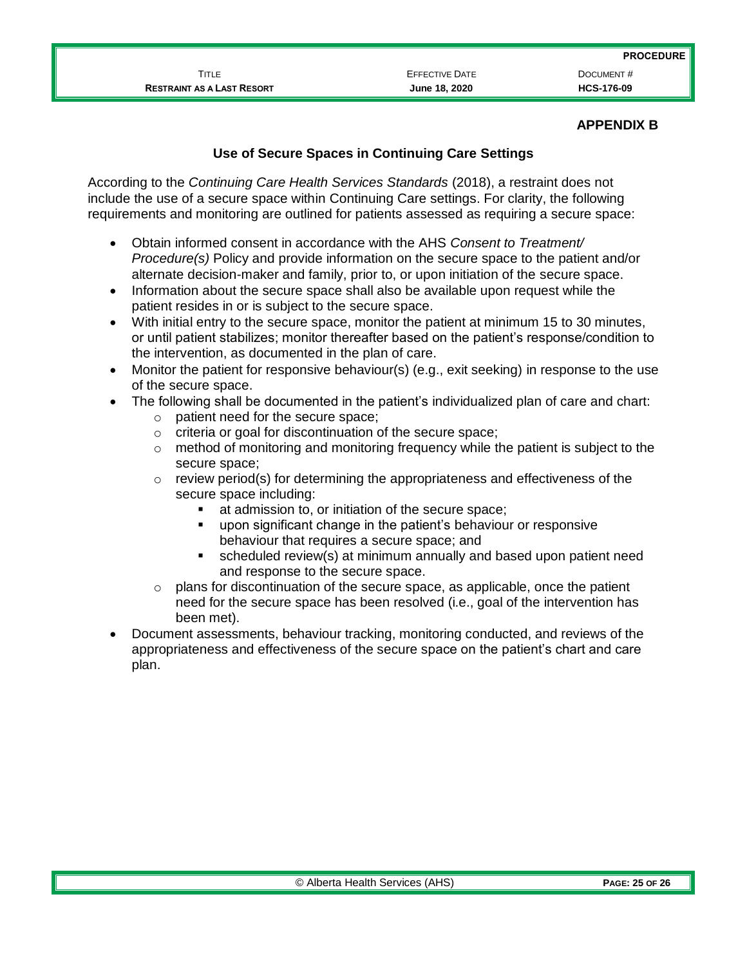TITLE **EXECTIVE DATE** EFFECTIVE DATE **DOCUMENT** # **RESTRAINT AS A LAST RESORT June 18, 2020 HCS-176-09**

#### **APPENDIX B**

### **Use of Secure Spaces in Continuing Care Settings**

According to the *Continuing Care Health Services Standards* (2018), a restraint does not include the use of a secure space within Continuing Care settings. For clarity, the following requirements and monitoring are outlined for patients assessed as requiring a secure space:

- Obtain informed consent in accordance with the AHS *Consent to Treatment/ Procedure(s)* Policy and provide information on the secure space to the patient and/or alternate decision-maker and family, prior to, or upon initiation of the secure space.
- Information about the secure space shall also be available upon request while the patient resides in or is subject to the secure space.
- With initial entry to the secure space, monitor the patient at minimum 15 to 30 minutes, or until patient stabilizes; monitor thereafter based on the patient's response/condition to the intervention, as documented in the plan of care.
- Monitor the patient for responsive behaviour(s) (e.g., exit seeking) in response to the use of the secure space.
- The following shall be documented in the patient's individualized plan of care and chart:
	- o patient need for the secure space;
	- o criteria or goal for discontinuation of the secure space;
	- $\circ$  method of monitoring and monitoring frequency while the patient is subject to the secure space;
	- $\circ$  review period(s) for determining the appropriateness and effectiveness of the secure space including:
		- at admission to, or initiation of the secure space;
		- upon significant change in the patient's behaviour or responsive behaviour that requires a secure space; and
		- scheduled review(s) at minimum annually and based upon patient need and response to the secure space.
	- $\circ$  plans for discontinuation of the secure space, as applicable, once the patient need for the secure space has been resolved (i.e., goal of the intervention has been met).
- Document assessments, behaviour tracking, monitoring conducted, and reviews of the appropriateness and effectiveness of the secure space on the patient's chart and care plan.